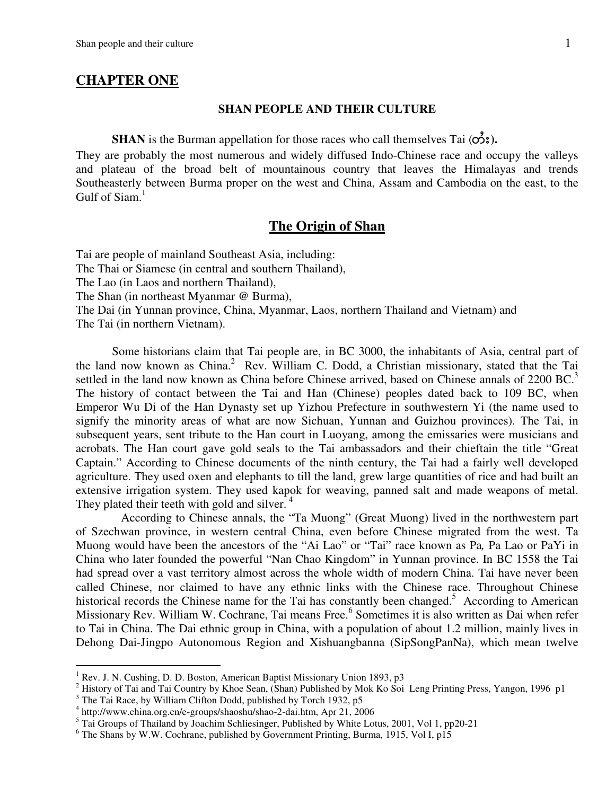#### **CHAPTER ONE**

#### **SHAN PEOPLE AND THEIR CULTURE**

**SHAN** is the Burman appellation for those races who call themselves Tai  $(\vec{o}_i)$ .

They are probably the most numerous and widely diffused Indo-Chinese race and occupy the valleys and plateau of the broad belt of mountainous country that leaves the Himalayas and trends Southeasterly between Burma proper on the west and China, Assam and Cambodia on the east, to the Gulf of  $Siam.<sup>1</sup>$ 

## **The Origin of Shan**

Tai are people of mainland Southeast Asia, including: The Thai or Siamese (in central and southern Thailand), The Lao (in Laos and northern Thailand), The Shan (in northeast Myanmar @ Burma), The Dai (in Yunnan province, China, Myanmar, Laos, northern Thailand and Vietnam) and The Tai (in northern Vietnam).

Some historians claim that Tai people are, in BC 3000, the inhabitants of Asia, central part of the land now known as China.<sup>2</sup> Rev. William C. Dodd, a Christian missionary, stated that the Tai settled in the land now known as China before Chinese arrived, based on Chinese annals of 2200 BC.<sup>3</sup> The history of contact between the Tai and Han (Chinese) peoples dated back to 109 BC, when Emperor Wu Di of the Han Dynasty set up Yizhou Prefecture in southwestern Yi (the name used to signify the minority areas of what are now Sichuan, Yunnan and Guizhou provinces). The Tai, in subsequent years, sent tribute to the Han court in Luoyang, among the emissaries were musicians and acrobats. The Han court gave gold seals to the Tai ambassadors and their chieftain the title "Great Captain." According to Chinese documents of the ninth century, the Tai had a fairly well developed agriculture. They used oxen and elephants to till the land, grew large quantities of rice and had built an extensive irrigation system. They used kapok for weaving, panned salt and made weapons of metal. They plated their teeth with gold and silver.<sup>4</sup>

 According to Chinese annals, the "Ta Muong" (Great Muong) lived in the northwestern part of Szechwan province, in western central China, even before Chinese migrated from the west. Ta Muong would have been the ancestors of the "Ai Lao" or "Tai" race known as Pa*,* Pa Lao or PaYi in China who later founded the powerful "Nan Chao Kingdom" in Yunnan province. In BC 1558 the Tai had spread over a vast territory almost across the whole width of modern China. Tai have never been called Chinese, nor claimed to have any ethnic links with the Chinese race. Throughout Chinese historical records the Chinese name for the Tai has constantly been changed.<sup>5</sup> According to American Missionary Rev. William W. Cochrane, Tai means Free.<sup>6</sup> Sometimes it is also written as Dai when refer to Tai in China. The Dai ethnic group in China, with a population of about 1.2 million, mainly lives in Dehong Dai-Jingpo Autonomous Region and Xishuangbanna (SipSongPanNa), which mean twelve

<sup>1</sup> Rev. J. N. Cushing, D. D. Boston, American Baptist Missionary Union 1893, p3

<sup>&</sup>lt;sup>2</sup> History of Tai and Tai Country by Khoe Sean, (Shan) Published by Mok Ko Soi Leng Printing Press, Yangon, 1996 p1

 $3$  The Tai Race, by William Clifton Dodd, published by Torch 1932, p5

<sup>4</sup> http://www.china.org.cn/e-groups/shaoshu/shao-2-dai.htm, Apr 21, 2006

<sup>&</sup>lt;sup>5</sup> Tai Groups of Thailand by Joachim Schliesinger, Published by White Lotus, 2001, Vol 1, pp20-21

<sup>&</sup>lt;sup>6</sup> The Shans by W.W. Cochrane, published by Government Printing, Burma, 1915, Vol I, p15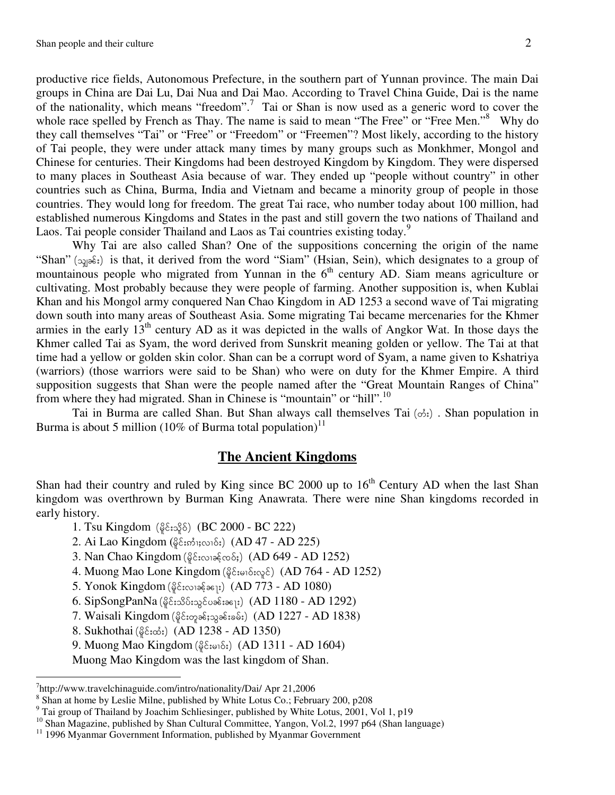productive rice fields, Autonomous Prefecture, in the southern part of Yunnan province. The main Dai groups in China are Dai Lu, Dai Nua and Dai Mao. According to Travel China Guide, Dai is the name of the nationality, which means "freedom".<sup>7</sup> Tai or Shan is now used as a generic word to cover the whole race spelled by French as Thay. The name is said to mean "The Free" or "Free Men."<sup>8</sup> Why do they call themselves "Tai" or "Free" or "Freedom" or "Freemen"? Most likely, according to the history of Tai people, they were under attack many times by many groups such as Monkhmer, Mongol and Chinese for centuries. Their Kingdoms had been destroyed Kingdom by Kingdom. They were dispersed to many places in Southeast Asia because of war. They ended up "people without country" in other countries such as China, Burma, India and Vietnam and became a minority group of people in those countries. They would long for freedom. The great Tai race, who number today about 100 million, had established numerous Kingdoms and States in the past and still govern the two nations of Thailand and Laos. Tai people consider Thailand and Laos as Tai countries existing today.<sup>9</sup>

 Why Tai are also called Shan? One of the suppositions concerning the origin of the name "Shan" ( $\infty$  $\infty$ ;) is that, it derived from the word "Siam" (Hsian, Sein), which designates to a group of mountainous people who migrated from Yunnan in the  $6<sup>th</sup>$  century AD. Siam means agriculture or cultivating. Most probably because they were people of farming. Another supposition is, when Kublai Khan and his Mongol army conquered Nan Chao Kingdom in AD 1253 a second wave of Tai migrating down south into many areas of Southeast Asia. Some migrating Tai became mercenaries for the Khmer armies in the early  $13<sup>th</sup>$  century AD as it was depicted in the walls of Angkor Wat. In those days the Khmer called Tai as Syam, the word derived from Sunskrit meaning golden or yellow. The Tai at that time had a yellow or golden skin color. Shan can be a corrupt word of Syam, a name given to Kshatriya (warriors) (those warriors were said to be Shan) who were on duty for the Khmer Empire. A third supposition suggests that Shan were the people named after the "Great Mountain Ranges of China" from where they had migrated. Shan in Chinese is "mountain" or "hill".<sup>10</sup>

Tai in Burma are called Shan. But Shan always call themselves Tai  $(\phi_i)$ . Shan population in Burma is about 5 million (10% of Burma total population)<sup>11</sup>

# **The Ancient Kingdoms**

Shan had their country and ruled by King since BC 2000 up to  $16<sup>th</sup>$  Century AD when the last Shan kingdom was overthrown by Burman King Anawrata. There were nine Shan kingdoms recorded in early history.

- 1. Tsu Kingdom  $(\frac{6}{9}\epsilon_1, \frac{6}{9}\delta)$  (BC 2000 BC 222)
- 2. Ai Lao Kingdom ( $\frac{25}{10}$ กัน $\frac{25}{10}$ ) (AD 47 AD 225)
- 3. Nan Chao Kingdom ( $\frac{25}{100}$   $(AD 649 AD 1252)$
- 4. Muong Mao Lone Kingdom (ดู๊c์ะอาธ์ะดุะธ์) (AD 764 AD 1252)
- 5. Yonok Kingdom  $(\frac{8}{9}\xi$ : $\infty$ 19 $\frac{5}{9}\xi$ ;) (AD 773 AD 1080)
- $6.$  SipSongPanNa (မိုင်းသိပ်းသွင်ပခန်းခန္း) (AD 1180 AD 1292)
- 7. Waisali Kingdom (မိုင်းတုခန်းသွခန်းခမ်း) (AD 1227 AD 1838)
- 8. Sukhothai ( $\S$ င်းထံး) (AD 1238 AD 1350)
- 9. Muong Mao Kingdom  $(\frac{6}{9}\epsilon_{i\infty1}\delta_i)$  (AD 1311 AD 1604)
- Muong Mao Kingdom was the last kingdom of Shan.

<sup>7</sup> http://www.travelchinaguide.com/intro/nationality/Dai/ Apr 21,2006

<sup>&</sup>lt;sup>8</sup> Shan at home by Leslie Milne, published by White Lotus Co.; February 200, p208

<sup>&</sup>lt;sup>9</sup> Tai group of Thailand by Joachim Schliesinger, published by White Lotus, 2001, Vol 1, p19

<sup>&</sup>lt;sup>10</sup> Shan Magazine, published by Shan Cultural Committee, Yangon, Vol.2, 1997 p64 (Shan language)

<sup>&</sup>lt;sup>11</sup> 1996 Myanmar Government Information, published by Myanmar Government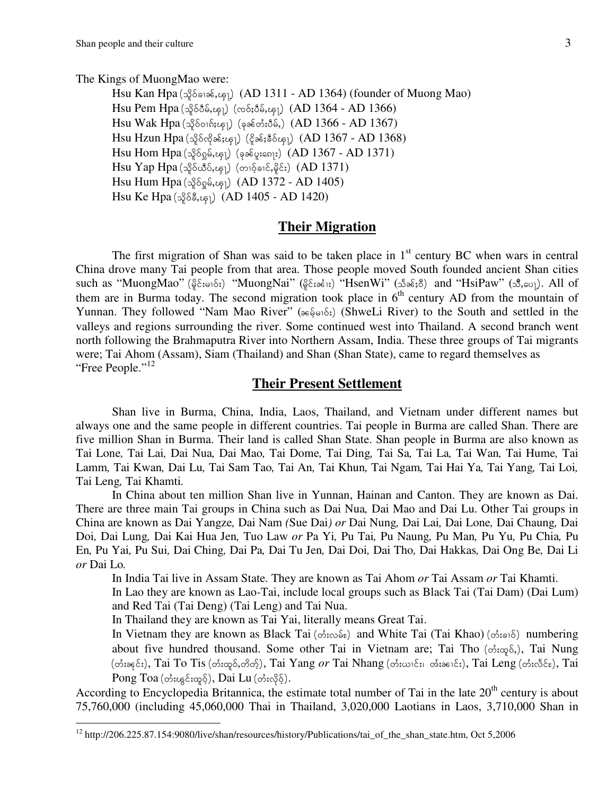l

The Kings of MuongMao were:

Hsu Kan Hpa  $(\alpha\beta\delta\alpha\beta\epsilon, \alpha\epsilon_1)$  (AD 1311 - AD 1364) (founder of Muong Mao) Hsu Pem Hpa (သိုဝ်ငံိမ်,ၾျ) (လဝ်;ပီမ်,ၾျ) (AD 1364 - AD 1366)  $Hsu$  Wak  $Hpa$  (သိုဝ်ဝၢ $\delta_i$ ၾု) (ခုခင်တီးပီမ်,) (AD 1366 - AD 1367) Hsu Hzun Hpa (သိုဝ်လိုခန်းၾု) (ငိုခန်းနှီဝ်ၾု) (AD 1367 - AD 1368)  $H$ su Hom Hpa (သိုဝ်ဂ္ၿမ်,ၾု) (ခုခ $\zeta$ ဖူး၈ေ $\ket{\mathfrak{s}}$  (AD 1367 - AD 1371)  $H$ su Yap Hpa ( $\Im$ อิง $\Im$  $\Im$ ย์) (တ $\Im$ อฺอิงเ $\Im$  $\Im$  $\Im$  (AD 1371) Hsu Hum Hpa  $({}_{9}^{6}G_{0}G_{5}G_{1})$  (AD 1372 - AD 1405) Hsu Ke Hpa  $({}_{9}^{58}, {_{9}^{5}})$  (AD 1405 - AD 1420)

#### **Their Migration**

The first migration of Shan was said to be taken place in  $1<sup>st</sup>$  century BC when wars in central China drove many Tai people from that area. Those people moved South founded ancient Shan cities such as "MuongMao" ( $\frac{2}{9}$ <sub>cu</sub>  $\frac{2}{9}$ ;) "MuongNai" ( $\frac{2}{9}$ ca  $\frac{2}{9}$ ;) "HsenWi" ( $\frac{5}{9}$ se; $\frac{8}{9}$ ) and "HsiPaw" ( $\frac{8}{9}$ , $\frac{2}{9}$ ). All of them are in Burma today. The second migration took place in  $6<sup>th</sup>$  century AD from the mountain of Yunnan. They followed "Nam Mao River" (see of st) (ShweLi River) to the South and settled in the valleys and regions surrounding the river. Some continued west into Thailand. A second branch went north following the Brahmaputra River into Northern Assam, India. These three groups of Tai migrants were; Tai Ahom (Assam), Siam (Thailand) and Shan (Shan State), came to regard themselves as "Free People."<sup>12</sup>

# **Their Present Settlement**

Shan live in Burma, China, India, Laos, Thailand, and Vietnam under different names but always one and the same people in different countries. Tai people in Burma are called Shan. There are five million Shan in Burma. Their land is called Shan State. Shan people in Burma are also known as Tai Lone*,* Tai Lai*,* Dai Nua*,* Dai Mao*,* Tai Dome*,* Tai Ding*,* Tai Sa*,* Tai La*,* Tai Wan*,* Tai Hume*,* Tai Lamm*,* Tai Kwan*,* Dai Lu*,* Tai Sam Tao*,* Tai An*,* Tai Khun*,* Tai Ngam*,* Tai Hai Ya*,* Tai Yang*,* Tai Loi*,*  Tai Leng*,* Tai Khamti*.* 

In China about ten million Shan live in Yunnan, Hainan and Canton. They are known as Dai. There are three main Tai groups in China such as Dai Nua*,* Dai Mao and Dai Lu. Other Tai groups in China are known as Dai Yangze*,* Dai Nam *(*Sue Dai*) or* Dai Nung*,* Dai Lai*,* Dai Lone*,* Dai Chaung*,* Dai Doi*,* Dai Lung*,* Dai Kai Hua Jen*,* Tuo Law *or* Pa Yi*,* Pu Tai*,* Pu Naung*,* Pu Man*,* Pu Yu*,* Pu Chia*,* Pu En*,* Pu Yai*,* Pu Sui*,* Dai Ching*,* Dai Pa*,* Dai Tu Jen*,* Dai Doi*,* Dai Tho*,* Dai Hakkas*,* Dai Ong Be*,* Dai Li *or* Dai Lo*.* 

In India Tai live in Assam State. They are known as Tai Ahom *or* Tai Assam *or* Tai Khamti.

In Lao they are known as Lao*-*Tai, include local groups such as Black Tai (Tai Dam) (Dai Lum) and Red Tai (Tai Deng) (Tai Leng) and Tai Nua.

In Thailand they are known as Tai Yai, literally means Great Tai.

In Vietnam they are known as Black Tai ( $\phi$ : $\infty$  $\delta$ ) and White Tai (Tai Khao) ( $\phi$ : $\infty$ ) numbering about five hundred thousand. Some other Tai in Vietnam are; Tai Tho ( $\phi$ : $\varphi$ ,, Tai Nung (တီးခနင်း), Tai To Tis (တီးထူဝ်,တိတ်ု), Tai Yang *or* Tai Nhang (တီးယ<sup>ှ</sup>င်း၊ တီးခ<sup>ငျ</sup>င်း), Tai Leng (တီးလီင်း), Tai  $Pong Toa (circ$ န်းၾင်းထူဝ့်), Dai Lu (တႆးလိုဝ့်).

According to Encyclopedia Britannica, the estimate total number of Tai in the late 20<sup>th</sup> century is about 75,760,000 (including 45,060,000 Thai in Thailand, 3,020,000 Laotians in Laos, 3,710,000 Shan in

<sup>12</sup> http://206.225.87.154:9080/live/shan/resources/history/Publications/tai\_of\_the\_shan\_state.htm, Oct 5,2006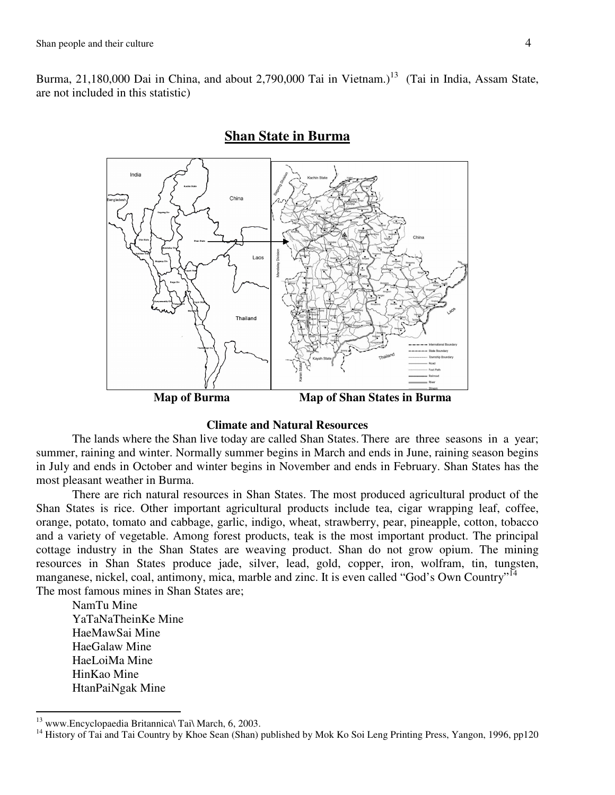Burma, 21,180,000 Dai in China, and about 2,790,000 Tai in Vietnam.)<sup>13</sup> (Tai in India, Assam State, are not included in this statistic)

# India China Thailand  **Map of Burma Map of Shan States in Burma**

# **Shan State in Burma**

#### **Climate and Natural Resources**

 The lands where the Shan live today are called Shan States. There are three seasons in a year; summer, raining and winter. Normally summer begins in March and ends in June, raining season begins in July and ends in October and winter begins in November and ends in February. Shan States has the most pleasant weather in Burma.

 There are rich natural resources in Shan States. The most produced agricultural product of the Shan States is rice. Other important agricultural products include tea, cigar wrapping leaf, coffee, orange, potato, tomato and cabbage, garlic, indigo, wheat, strawberry, pear, pineapple, cotton, tobacco and a variety of vegetable. Among forest products, teak is the most important product. The principal cottage industry in the Shan States are weaving product. Shan do not grow opium. The mining resources in Shan States produce jade, silver, lead, gold, copper, iron, wolfram, tin, tungsten, manganese, nickel, coal, antimony, mica, marble and zinc. It is even called "God's Own Country"<sup>14</sup> The most famous mines in Shan States are;

NamTu Mine YaTaNaTheinKe Mine HaeMawSai Mine HaeGalaw Mine HaeLoiMa Mine HinKao Mine HtanPaiNgak Mine

 $^{13}$  www.Encyclopaedia Britannica\ Tai\ March, 6, 2003.

<sup>&</sup>lt;sup>14</sup> History of Tai and Tai Country by Khoe Sean (Shan) published by Mok Ko Soi Leng Printing Press, Yangon, 1996, pp120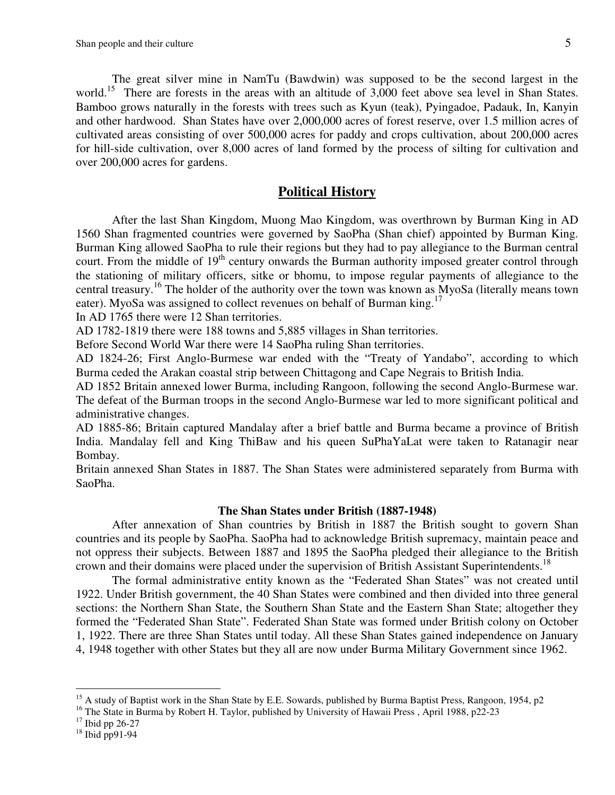The great silver mine in NamTu (Bawdwin) was supposed to be the second largest in the world.<sup>15</sup> There are forests in the areas with an altitude of 3,000 feet above sea level in Shan States. Bamboo grows naturally in the forests with trees such as Kyun (teak), Pyingadoe, Padauk, In, Kanyin and other hardwood. Shan States have over 2,000,000 acres of forest reserve, over 1.5 million acres of cultivated areas consisting of over 500,000 acres for paddy and crops cultivation, about 200,000 acres for hill-side cultivation, over 8,000 acres of land formed by the process of silting for cultivation and over 200,000 acres for gardens.

#### **Political History**

After the last Shan Kingdom, Muong Mao Kingdom, was overthrown by Burman King in AD 1560 Shan fragmented countries were governed by SaoPha (Shan chief) appointed by Burman King. Burman King allowed SaoPha to rule their regions but they had to pay allegiance to the Burman central court. From the middle of 19<sup>th</sup> century onwards the Burman authority imposed greater control through the stationing of military officers, sitke or bhomu, to impose regular payments of allegiance to the central treasury.<sup>16</sup> The holder of the authority over the town was known as MyoSa (literally means town eater). MyoSa was assigned to collect revenues on behalf of Burman king.<sup>17</sup>

In AD 1765 there were 12 Shan territories.

AD 1782-1819 there were 188 towns and 5,885 villages in Shan territories.

Before Second World War there were 14 SaoPha ruling Shan territories.

AD 1824-26; First Anglo-Burmese war ended with the "Treaty of Yandabo", according to which Burma ceded the Arakan coastal strip between Chittagong and Cape Negrais to British India.

AD 1852 Britain annexed lower Burma, including Rangoon, following the second Anglo-Burmese war. The defeat of the Burman troops in the second Anglo-Burmese war led to more significant political and administrative changes.

AD 1885-86; Britain captured Mandalay after a brief battle and Burma became a province of British India. Mandalay fell and King ThiBaw and his queen SuPhaYaLat were taken to Ratanagir near Bombay.

Britain annexed Shan States in 1887. The Shan States were administered separately from Burma with SaoPha.

#### **The Shan States under British (1887-1948)**

 After annexation of Shan countries by British in 1887 the British sought to govern Shan countries and its people by SaoPha. SaoPha had to acknowledge British supremacy, maintain peace and not oppress their subjects. Between 1887 and 1895 the SaoPha pledged their allegiance to the British crown and their domains were placed under the supervision of British Assistant Superintendents.<sup>18</sup>

The formal administrative entity known as the "Federated Shan States" was not created until 1922. Under British government, the 40 Shan States were combined and then divided into three general sections: the Northern Shan State, the Southern Shan State and the Eastern Shan State; altogether they formed the "Federated Shan State". Federated Shan State was formed under British colony on October 1, 1922. There are three Shan States until today. All these Shan States gained independence on January 4, 1948 together with other States but they all are now under Burma Military Government since 1962.

<sup>&</sup>lt;sup>15</sup> A study of Baptist work in the Shan State by E.E. Sowards, published by Burma Baptist Press, Rangoon, 1954, p2

<sup>&</sup>lt;sup>16</sup> The State in Burma by Robert H. Taylor, published by University of Hawaii Press, April 1988, p22-23

 $17$  Ibid pp 26-27

<sup>18</sup> Ibid pp91-94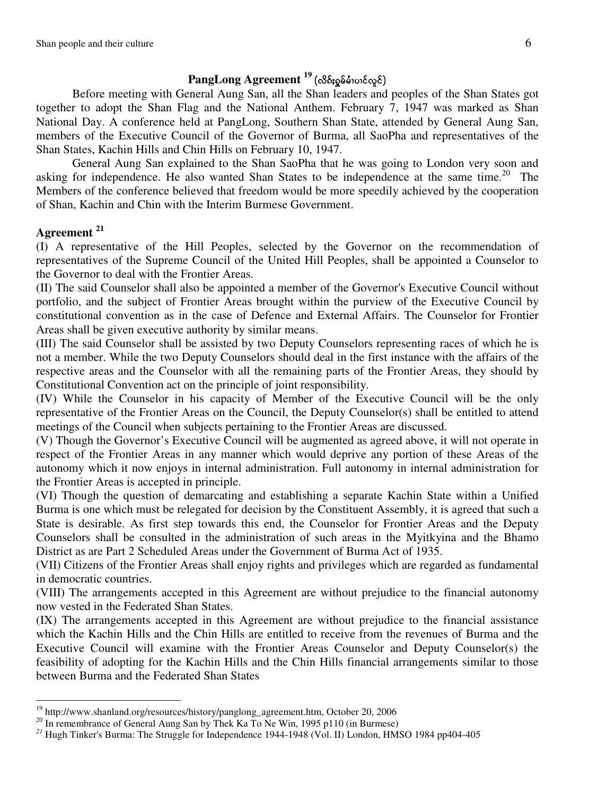# $PangLong Agreement <sup>19</sup> (လိန်းရှုမ်မီးပၢင်လူင်)$

Before meeting with General Aung San, all the Shan leaders and peoples of the Shan States got together to adopt the Shan Flag and the National Anthem. February 7, 1947 was marked as Shan National Day. A conference held at PangLong, Southern Shan State, attended by General Aung San, members of the Executive Council of the Governor of Burma, all SaoPha and representatives of the Shan States, Kachin Hills and Chin Hills on February 10, 1947.

General Aung San explained to the Shan SaoPha that he was going to London very soon and asking for independence. He also wanted Shan States to be independence at the same time.<sup>20</sup> The Members of the conference believed that freedom would be more speedily achieved by the cooperation of Shan, Kachin and Chin with the Interim Burmese Government.

#### **Agreement <sup>21</sup>**

(I) A representative of the Hill Peoples, selected by the Governor on the recommendation of representatives of the Supreme Council of the United Hill Peoples, shall be appointed a Counselor to the Governor to deal with the Frontier Areas.

(II) The said Counselor shall also be appointed a member of the Governor's Executive Council without portfolio, and the subject of Frontier Areas brought within the purview of the Executive Council by constitutional convention as in the case of Defence and External Affairs. The Counselor for Frontier Areas shall be given executive authority by similar means.

(III) The said Counselor shall be assisted by two Deputy Counselors representing races of which he is not a member. While the two Deputy Counselors should deal in the first instance with the affairs of the respective areas and the Counselor with all the remaining parts of the Frontier Areas, they should by Constitutional Convention act on the principle of joint responsibility.

(IV) While the Counselor in his capacity of Member of the Executive Council will be the only representative of the Frontier Areas on the Council, the Deputy Counselor(s) shall be entitled to attend meetings of the Council when subjects pertaining to the Frontier Areas are discussed.

(V) Though the Governor's Executive Council will be augmented as agreed above, it will not operate in respect of the Frontier Areas in any manner which would deprive any portion of these Areas of the autonomy which it now enjoys in internal administration. Full autonomy in internal administration for the Frontier Areas is accepted in principle.

(VI) Though the question of demarcating and establishing a separate Kachin State within a Unified Burma is one which must be relegated for decision by the Constituent Assembly, it is agreed that such a State is desirable. As first step towards this end, the Counselor for Frontier Areas and the Deputy Counselors shall be consulted in the administration of such areas in the Myitkyina and the Bhamo District as are Part 2 Scheduled Areas under the Government of Burma Act of 1935.

(VII) Citizens of the Frontier Areas shall enjoy rights and privileges which are regarded as fundamental in democratic countries.

(VIII) The arrangements accepted in this Agreement are without prejudice to the financial autonomy now vested in the Federated Shan States.

(IX) The arrangements accepted in this Agreement are without prejudice to the financial assistance which the Kachin Hills and the Chin Hills are entitled to receive from the revenues of Burma and the Executive Council will examine with the Frontier Areas Counselor and Deputy Counselor(s) the feasibility of adopting for the Kachin Hills and the Chin Hills financial arrangements similar to those between Burma and the Federated Shan States

 $\overline{a}$ <sup>19</sup> http://www.shanland.org/resources/history/panglong\_agreement.htm, October 20, 2006

<sup>&</sup>lt;sup>20</sup> In remembrance of General Aung San by Thek Ka To Ne Win, 1995 p110 (in Burmese)

*<sup>21</sup>* Hugh Tinker's Burma: The Struggle for Independence 1944-1948 (Vol. II) London, HMSO 1984 pp404-405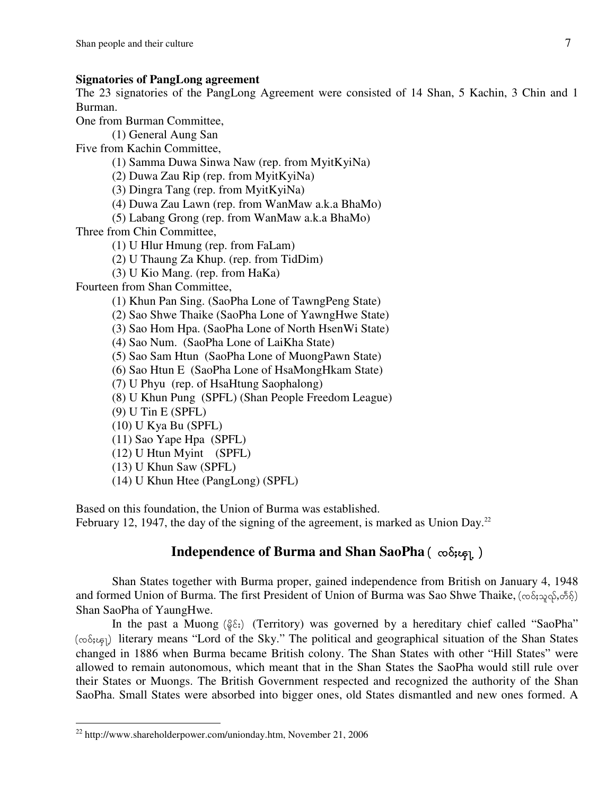#### **Signatories of PangLong agreement**

The 23 signatories of the PangLong Agreement were consisted of 14 Shan, 5 Kachin, 3 Chin and 1 Burman.

One from Burman Committee,

(1) General Aung San

Five from Kachin Committee,

(1) Samma Duwa Sinwa Naw (rep. from MyitKyiNa)

(2) Duwa Zau Rip (rep. from MyitKyiNa)

(3) Dingra Tang (rep. from MyitKyiNa)

(4) Duwa Zau Lawn (rep. from WanMaw a.k.a BhaMo)

(5) Labang Grong (rep. from WanMaw a.k.a BhaMo)

Three from Chin Committee,

(1) U Hlur Hmung (rep. from FaLam)

(2) U Thaung Za Khup. (rep. from TidDim)

(3) U Kio Mang. (rep. from HaKa)

Fourteen from Shan Committee,

(1) Khun Pan Sing. (SaoPha Lone of TawngPeng State)

(2) Sao Shwe Thaike (SaoPha Lone of YawngHwe State)

(3) Sao Hom Hpa. (SaoPha Lone of North HsenWi State)

(4) Sao Num. (SaoPha Lone of LaiKha State)

(5) Sao Sam Htun (SaoPha Lone of MuongPawn State)

(6) Sao Htun E (SaoPha Lone of HsaMongHkam State)

(7) U Phyu (rep. of HsaHtung Saophalong)

(8) U Khun Pung (SPFL) (Shan People Freedom League)

(9) U Tin E (SPFL)

l

(10) U Kya Bu (SPFL)

(11) Sao Yape Hpa (SPFL)

(12) U Htun Myint (SPFL)

(13) U Khun Saw (SPFL)

(14) U Khun Htee (PangLong) (SPFL)

Based on this foundation, the Union of Burma was established.

February 12, 1947, the day of the signing of the agreement, is marked as Union Day.<sup>22</sup>

# **Independence of Burma and Shan SaoPha** ( $\infty$  $\infty$  $\infty$ ]

Shan States together with Burma proper, gained independence from British on January 4, 1948 and formed Union of Burma. The first President of Union of Burma was Sao Shwe Thaike, ( $\infty$  $\delta$ ; $\infty$  $\delta$ , $\delta$  $\delta$ ) Shan SaoPha of YaungHwe.

In the past a Muong ( $\S$ ε;) (Territory) was governed by a hereditary chief called "SaoPha"  $(\infty\delta;\epsilon_{\text{F}})$  literary means "Lord of the Sky." The political and geographical situation of the Shan States changed in 1886 when Burma became British colony. The Shan States with other "Hill States" were allowed to remain autonomous, which meant that in the Shan States the SaoPha would still rule over their States or Muongs. The British Government respected and recognized the authority of the Shan SaoPha. Small States were absorbed into bigger ones, old States dismantled and new ones formed. A

<sup>22</sup> http://www.shareholderpower.com/unionday.htm, November 21, 2006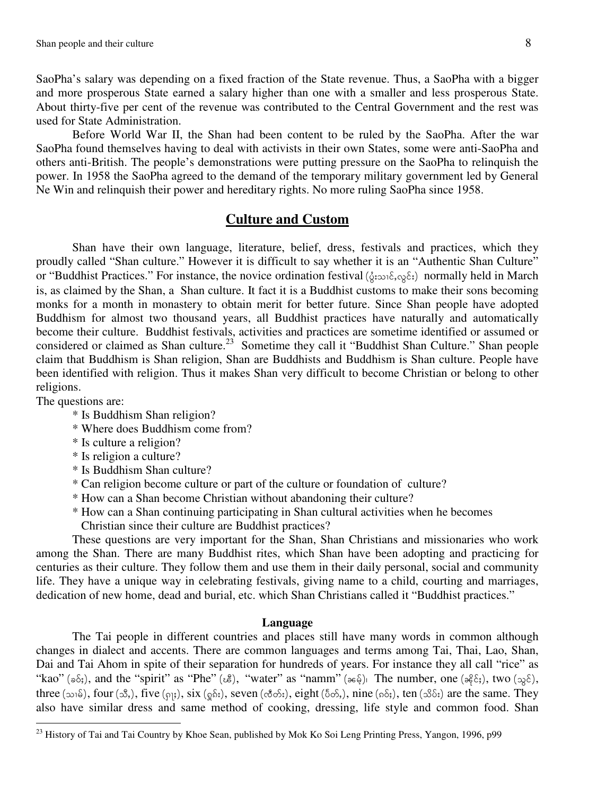SaoPha's salary was depending on a fixed fraction of the State revenue. Thus, a SaoPha with a bigger and more prosperous State earned a salary higher than one with a smaller and less prosperous State. About thirty-five per cent of the revenue was contributed to the Central Government and the rest was used for State Administration.

Before World War II, the Shan had been content to be ruled by the SaoPha. After the war SaoPha found themselves having to deal with activists in their own States, some were anti-SaoPha and others anti-British. The people's demonstrations were putting pressure on the SaoPha to relinquish the power. In 1958 the SaoPha agreed to the demand of the temporary military government led by General Ne Win and relinquish their power and hereditary rights. No more ruling SaoPha since 1958.

#### **Culture and Custom**

Shan have their own language, literature, belief, dress, festivals and practices, which they proudly called "Shan culture." However it is difficult to say whether it is an "Authentic Shan Culture" or "Buddhist Practices." For instance, the novice ordination festival ( $\zeta_i$ ; $\zeta_i$ , $\zeta_i$ , $\zeta_i$ ) normally held in March is, as claimed by the Shan, a Shan culture. It fact it is a Buddhist customs to make their sons becoming monks for a month in monastery to obtain merit for better future. Since Shan people have adopted Buddhism for almost two thousand years, all Buddhist practices have naturally and automatically become their culture. Buddhist festivals, activities and practices are sometime identified or assumed or considered or claimed as Shan culture.<sup>23</sup> Sometime they call it "Buddhist Shan Culture." Shan people claim that Buddhism is Shan religion, Shan are Buddhists and Buddhism is Shan culture. People have been identified with religion. Thus it makes Shan very difficult to become Christian or belong to other religions.

The questions are:

l

- \* Is Buddhism Shan religion?
- \* Where does Buddhism come from?
- \* Is culture a religion?
- \* Is religion a culture?
- \* Is Buddhism Shan culture?
- \* Can religion become culture or part of the culture or foundation of culture?
- \* How can a Shan become Christian without abandoning their culture?
- \* How can a Shan continuing participating in Shan cultural activities when he becomes Christian since their culture are Buddhist practices?

 These questions are very important for the Shan, Shan Christians and missionaries who work among the Shan. There are many Buddhist rites, which Shan have been adopting and practicing for centuries as their culture. They follow them and use them in their daily personal, social and community life. They have a unique way in celebrating festivals, giving name to a child, courting and marriages, dedication of new home, dead and burial, etc. which Shan Christians called it "Buddhist practices."

#### **Language**

The Tai people in different countries and places still have many words in common although changes in dialect and accents. There are common languages and terms among Tai, Thai, Lao, Shan, Dai and Tai Ahom in spite of their separation for hundreds of years. For instance they all call "rice" as "kao" ( $\delta$ ;), and the "spirit" as "Phe" ( $\delta$ ), "water" as "namm" ( $\delta$ ). The number, one ( $\delta$  $\epsilon$ ;), two ( $\delta$ ), three  $(\infty, \delta)$ , four  $(\mathcal{S}, \delta)$ , five  $(\infty, \delta)$ , six  $(\delta, \delta)$ , seven  $(\mathcal{S}, \delta)$ , eight  $(\delta, \delta)$ , nine  $(\delta, \delta)$ , ten  $(\mathcal{S}, \delta)$  are the same. They also have similar dress and same method of cooking, dressing, life style and common food. Shan

<sup>&</sup>lt;sup>23</sup> History of Tai and Tai Country by Khoe Sean, published by Mok Ko Soi Leng Printing Press, Yangon, 1996, p99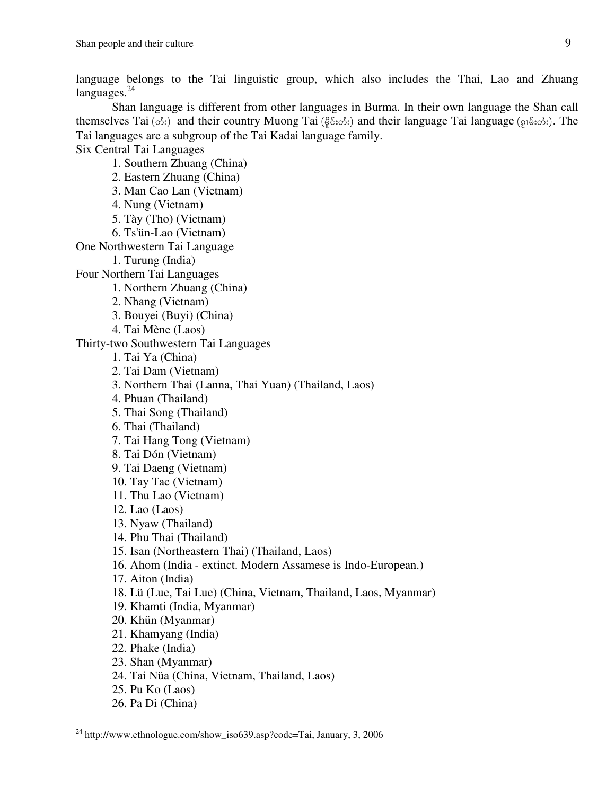language belongs to the Tai linguistic group, which also includes the Thai, Lao and Zhuang  $languages.<sup>24</sup>$ 

 Shan language is different from other languages in Burma. In their own language the Shan call themselves Tai ( $\phi$ ;) and their country Muong Tai ( $\frac{\partial}{\partial \xi}$ ; $\phi$ ;) and their language Tai language ( $\wp$ i $\delta$ ; $\phi$ ;). The Tai languages are a subgroup of the Tai Kadai language family.

Six Central Tai Languages

1. Southern Zhuang (China)

2. Eastern Zhuang (China)

3. Man Cao Lan (Vietnam)

4. Nung (Vietnam)

5. Tày (Tho) (Vietnam)

6. Ts'ün-Lao (Vietnam)

One Northwestern Tai Language

1. Turung (India)

Four Northern Tai Languages

1. Northern Zhuang (China)

- 2. Nhang (Vietnam)
- 3. Bouyei (Buyi) (China)
- 4. Tai Mène (Laos)

Thirty-two Southwestern Tai Languages

- 1. Tai Ya (China)
- 2. Tai Dam (Vietnam)
- 3. Northern Thai (Lanna, Thai Yuan) (Thailand, Laos)
- 4. Phuan (Thailand)
- 5. Thai Song (Thailand)
- 6. Thai (Thailand)
- 7. Tai Hang Tong (Vietnam)
- 8. Tai Dón (Vietnam)
- 9. Tai Daeng (Vietnam)
- 10. Tay Tac (Vietnam)
- 11. Thu Lao (Vietnam)
- 12. Lao (Laos)
- 13. Nyaw (Thailand)
- 14. Phu Thai (Thailand)
- 15. Isan (Northeastern Thai) (Thailand, Laos)
- 16. Ahom (India extinct. Modern Assamese is Indo-European.)
- 17. Aiton (India)
- 18. Lü (Lue, Tai Lue) (China, Vietnam, Thailand, Laos, Myanmar)
- 19. Khamti (India, Myanmar)
- 20. Khün (Myanmar)
- 21. Khamyang (India)
- 22. Phake (India)
- 23. Shan (Myanmar)
- 24. Tai Nüa (China, Vietnam, Thailand, Laos)
- 25. Pu Ko (Laos)
- 26. Pa Di (China)

l

<sup>&</sup>lt;sup>24</sup> http://www.ethnologue.com/show\_iso639.asp?code=Tai, January, 3, 2006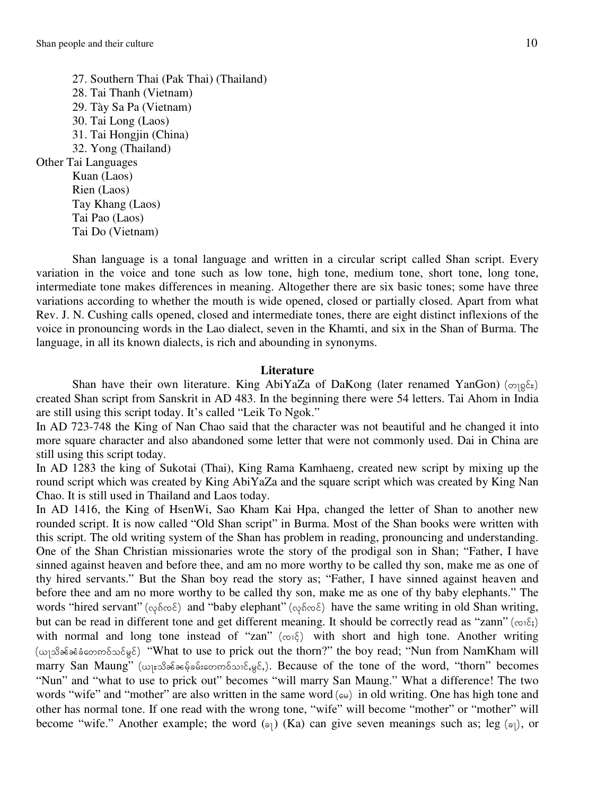Tai Do (Vietnam)

27. Southern Thai (Pak Thai) (Thailand) 28. Tai Thanh (Vietnam) 29. Tày Sa Pa (Vietnam) 30. Tai Long (Laos) 31. Tai Hongjin (China) 32. Yong (Thailand) Other Tai Languages Kuan (Laos) Rien (Laos) Tay Khang (Laos) Tai Pao (Laos)

Shan language is a tonal language and written in a circular script called Shan script. Every variation in the voice and tone such as low tone, high tone, medium tone, short tone, long tone, intermediate tone makes differences in meaning. Altogether there are six basic tones; some have three variations according to whether the mouth is wide opened, closed or partially closed. Apart from what Rev. J. N. Cushing calls opened, closed and intermediate tones, there are eight distinct inflexions of the voice in pronouncing words in the Lao dialect, seven in the Khamti, and six in the Shan of Burma. The language, in all its known dialects, is rich and abounding in synonyms.

#### **Literature**

Shan have their own literature. King AbiYaZa of DaKong (later renamed YanGon) ( $\infty$ <sub>19</sub> $\xi$ <sub>2</sub>) created Shan script from Sanskrit in AD 483. In the beginning there were 54 letters. Tai Ahom in India are still using this script today. It's called "Leik To Ngok."

In AD 723-748 the King of Nan Chao said that the character was not beautiful and he changed it into more square character and also abandoned some letter that were not commonly used. Dai in China are still using this script today.

In AD 1283 the king of Sukotai (Thai), King Rama Kamhaeng, created new script by mixing up the round script which was created by King AbiYaZa and the square script which was created by King Nan Chao. It is still used in Thailand and Laos today.

In AD 1416, the King of HsenWi, Sao Kham Kai Hpa, changed the letter of Shan to another new rounded script. It is now called "Old Shan script" in Burma. Most of the Shan books were written with this script. The old writing system of the Shan has problem in reading, pronouncing and understanding. One of the Shan Christian missionaries wrote the story of the prodigal son in Shan; "Father, I have sinned against heaven and before thee, and am no more worthy to be called thy son, make me as one of thy hired servants." But the Shan boy read the story as; "Father, I have sinned against heaven and before thee and am no more worthy to be called thy son, make me as one of thy baby elephants." The words "hired servant" (<sub>Φ</sub>δωδ) and "baby elephant" (φδωδ) have the same writing in old Shan writing, but can be read in different tone and get different meaning. It should be correctly read as "zann" ( $\infty$  $\in$ ;) with normal and long tone instead of "zan" ( $\infty$  $\in$ ) with short and high tone. Another writing (wingofoit) "What to use to prick out the thorn?" the boy read; "Nun from NamKham will marry San Maung" (wpesseded ferromotomic,  $g\delta$ .). Because of the tone of the word, "thorn" becomes "Nun" and "what to use to prick out" becomes "will marry San Maung." What a difference! The two words "wife" and "mother" are also written in the same word  $(\infty)$  in old writing. One has high tone and other has normal tone. If one read with the wrong tone, "wife" will become "mother" or "mother" will become "wife." Another example; the word  $(\mathfrak{s}_1)$  (Ka) can give seven meanings such as; leg  $(\mathfrak{s}_1)$ , or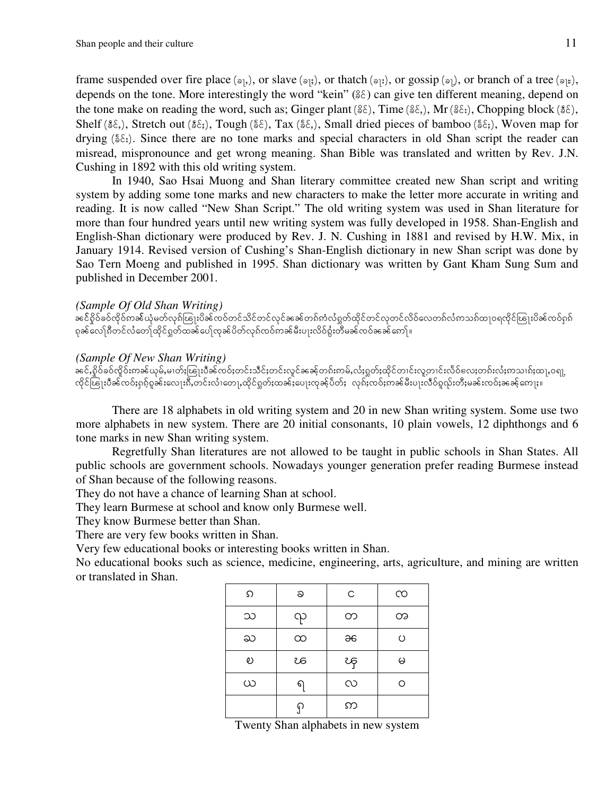frame suspended over fire place ( $\mathfrak{sp}_1$ ), or slave ( $\mathfrak{sp}_3$ ), or thatch ( $\mathfrak{sp}_1$ ), or gossip ( $\mathfrak{sp}_1$ ), or branch of a tree ( $\mathfrak{sp}_2$ ), depends on the tone. More interestingly the word "kein"  $(\frac{6}{5})$  can give ten different meaning, depend on the tone make on reading the word, such as; Ginger plant ( $\S\hat{\epsilon}$ ), Time ( $\S\hat{\epsilon}$ ), Mr ( $\S\hat{\epsilon}$ ), Chopping block ( $\S\hat{\epsilon}$ ), Shelf ( $\S\$ ), Stretch out ( $\S\$ ), Tough ( $\S\$ ), Tax ( $\S\$ ), Small dried pieces of bamboo ( $\S\$ ), Woven map for drying ( $\xi \xi_i$ ). Since there are no tone marks and special characters in old Shan script the reader can misread, mispronounce and get wrong meaning. Shan Bible was translated and written by Rev. J.N. Cushing in 1892 with this old writing system.

In 1940, Sao Hsai Muong and Shan literary committee created new Shan script and writing system by adding some tone marks and new characters to make the letter more accurate in writing and reading. It is now called "New Shan Script." The old writing system was used in Shan literature for more than four hundred years until new writing system was fully developed in 1958. Shan-English and English-Shan dictionary were produced by Rev. J. N. Cushing in 1881 and revised by H.W. Mix, in January 1914. Revised version of Cushing's Shan-English dictionary in new Shan script was done by Sao Tern Moeng and published in 1995. Shan dictionary was written by Gant Kham Sung Sum and published in December 2001.

#### *(Sample Of Old Shan Writing)*

 $\dot{\tilde{\theta}}$ နင်ဂှိုဝ်နဝ်ကိုဝင်္ဂလန်ကျော်များ မြန်တွင်တင်သိုင်တင်လုင်ခနေတော်ကံလံဂွတ်ထိုင်တင်လုတင်လိဝ်လေတစ်လံကသစ်ထုဝရထိုင်ၽြုးပိခန်ထဝ်ဂှစ် ၵှခန်လေါ်ၵီတင်လံတေါ်ထိုင်ဂူတ်ထခန်ပေါ် လှခန်ပိတ်လှန်လင်ကခန်မီးပျးလိဝ်စွံးတီမခန်လဝ်ခခေန်ကေါ်။

#### *(Sample Of New Shan Writing)*

 $\hat{\theta}$ နင်,စိုင်စဝ်ထိုဝ်းကခပ်ယုမ်,မၢတ်ႈၽြုးပီခင်ထဝ်းတင်းသင်းတင်းလှင်ခခေင်တၵ်းကမ်,လံႈဂူတ်းထိုင်တၢင်းလှတၤင်းလီဝ်လေးတၵ်းလံးကသၢၵ်ႈထ႑,ဝရျ ထိုင်ၽြုးပီခင်ထဝ်းရှာ်ရှာခင်းလျေးၵိဳ,တင်းလံ1တေ],ထိုင်ရှုတ်းထခင်းပေ]းထုခင်ပီတ်ႈ လှန်းထဝ်းကခင်မီးပျးလိဝ်ရှလ်းတီးမခင်းထဝ်းခခေင်ကျေး။

There are 18 alphabets in old writing system and 20 in new Shan writing system. Some use two more alphabets in new system. There are 20 initial consonants, 10 plain vowels, 12 diphthongs and 6 tone marks in new Shan writing system.

Regretfully Shan literatures are not allowed to be taught in public schools in Shan States. All public schools are government schools. Nowadays younger generation prefer reading Burmese instead of Shan because of the following reasons.

They do not have a chance of learning Shan at school.

They learn Burmese at school and know only Burmese well.

They know Burmese better than Shan.

There are very few books written in Shan.

Very few educational books or interesting books written in Shan.

No educational books such as science, medicine, engineering, arts, agriculture, and mining are written or translated in Shan.

| ၵ | ప        | C            | ၸ       |
|---|----------|--------------|---------|
| သ | ၺ        | တ            | တ       |
| ႀ | $\infty$ | $\partial 6$ | $\circ$ |
| ల | ಚ        | ၾ            | မ       |
| ယ | 6,       | လ            | റ       |
|   | ମ        | ဢ            |         |

Twenty Shan alphabets in new system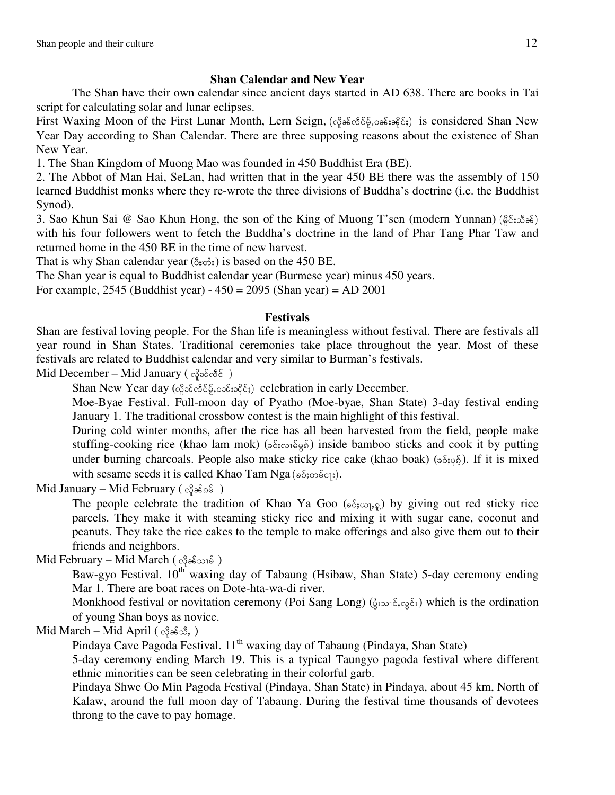### **Shan Calendar and New Year**

 The Shan have their own calendar since ancient days started in AD 638. There are books in Tai script for calculating solar and lunar eclipses.

First Waxing Moon of the First Lunar Month, Lern Seign, (op and for example for some formal Shan New Year Day according to Shan Calendar. There are three supposing reasons about the existence of Shan New Year.

1. The Shan Kingdom of Muong Mao was founded in 450 Buddhist Era (BE).

2. The Abbot of Man Hai, SeLan, had written that in the year 450 BE there was the assembly of 150 learned Buddhist monks where they re-wrote the three divisions of Buddha's doctrine (i.e. the Buddhist Synod).

3. Sao Khun Sai @ Sao Khun Hong, the son of the King of Muong T'sen (modern Yunnan) ( $\S$  $\epsilon$ :  $\delta$  $\delta$ ) with his four followers went to fetch the Buddha's doctrine in the land of Phar Tang Phar Taw and returned home in the 450 BE in the time of new harvest.

That is why Shan calendar year  $(\delta_{\varepsilon} \delta_{\varepsilon})$  is based on the 450 BE.

The Shan year is equal to Buddhist calendar year (Burmese year) minus 450 years.

For example, 2545 (Buddhist year) - 450 = 2095 (Shan year) = AD 2001

#### **Festivals**

Shan are festival loving people. For the Shan life is meaningless without festival. There are festivals all year round in Shan States. Traditional ceremonies take place throughout the year. Most of these festivals are related to Buddhist calendar and very similar to Burman's festivals.

Mid December – Mid January ( $\varphi \in \mathcal{S}$ 

Shan New Year day  $(\alpha \beta \partial \xi \partial \beta \partial \eta \partial \xi \partial \xi)$  celebration in early December.

Moe-Byae Festival. Full-moon day of Pyatho (Moe-byae, Shan State) 3-day festival ending January 1. The traditional crossbow contest is the main highlight of this festival.

During cold winter months, after the rice has all been harvested from the field, people make stuffing-cooking rice (khao lam mok) ( $\delta$ ;  $\delta$ ;  $\delta$ ;  $\delta$ } inside bamboo sticks and cook it by putting under burning charcoals. People also make sticky rice cake (khao boak) ( $\delta(\psi_0, \delta(\psi_0))$ . If it is mixed with sesame seeds it is called Khao Tam Nga ( $\delta$ ; $\delta$ ; $\delta$ ).

Mid January – Mid February ( $\varphi$  $\delta$ 

The people celebrate the tradition of Khao Ya Goo ( $\delta$ ; $\omega$ <sub>1</sub>, $\Omega$ ) by giving out red sticky rice parcels. They make it with steaming sticky rice and mixing it with sugar cane, coconut and peanuts. They take the rice cakes to the temple to make offerings and also give them out to their friends and neighbors.

 $Mid February - Mid March ($   $\varphi$  $\varphi$ se  $)$ 

Baw-gyo Festival. 10<sup>th</sup> waxing day of Tabaung (Hsibaw, Shan State) 5-day ceremony ending Mar 1. There are boat races on Dote-hta-wa-di river.

Monkhood festival or novitation ceremony (Poi Sang Long) ( $\zeta$ ; $\infty$  $\zeta$ ;) which is the ordination of young Shan boys as novice.

 $Mid March - Mid April (  $\triangle \$$ 

Pindaya Cave Pagoda Festival. 11<sup>th</sup> waxing day of Tabaung (Pindaya, Shan State)

5-day ceremony ending March 19. This is a typical Taungyo pagoda festival where different ethnic minorities can be seen celebrating in their colorful garb.

Pindaya Shwe Oo Min Pagoda Festival (Pindaya, Shan State) in Pindaya, about 45 km, North of Kalaw, around the full moon day of Tabaung. During the festival time thousands of devotees throng to the cave to pay homage.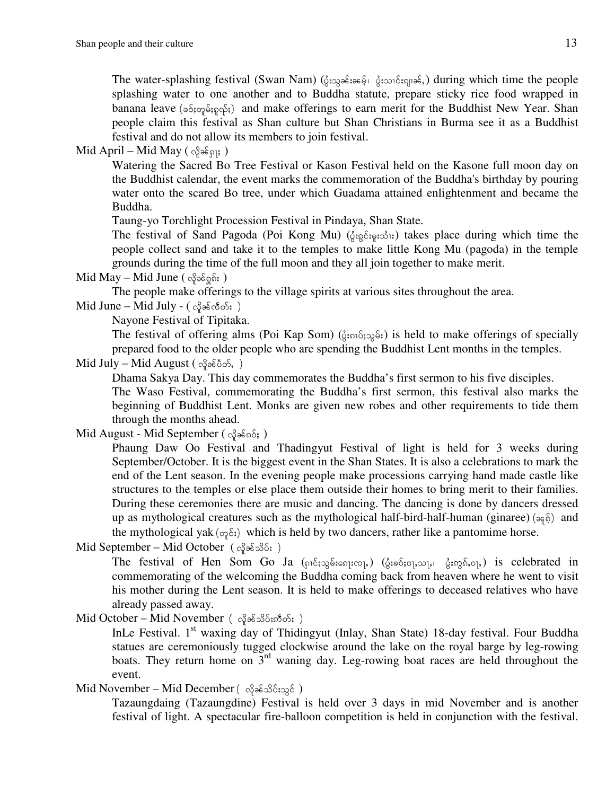The water-splashing festival (Swan Nam) (ပွဲးသွခန်းခမေ့်၊ ပွဲးသၤင်းၵျ၊ခင်,) during which time the people splashing water to one another and to Buddha statute, prepare sticky rice food wrapped in banana leave ( $\delta$ <sub>5</sub> $\varphi$  $\delta$ <sub>5</sub> $\varphi$  $\delta$ <sub>5</sub>) and make offerings to earn merit for the Buddhist New Year. Shan people claim this festival as Shan culture but Shan Christians in Burma see it as a Buddhist festival and do not allow its members to join festival.

Mid April – Mid May ( $\Im \delta$ <sub>0</sub> $\Im$ <sub>0]</sub>; )

Watering the Sacred Bo Tree Festival or Kason Festival held on the Kasone full moon day on the Buddhist calendar, the event marks the commemoration of the Buddha's birthday by pouring water onto the scared Bo tree, under which Guadama attained enlightenment and became the Buddha.

Taung-yo Torchlight Procession Festival in Pindaya, Shan State.

The festival of Sand Pagoda (Poi Kong Mu) ( $\zeta_{\mathfrak{so}}\xi_{\mathfrak{so}}\xi_{\mathfrak{so}}\eta_{\mathfrak{so}}$ ) takes place during which time the people collect sand and take it to the temples to make little Kong Mu (pagoda) in the temple grounds during the time of the full moon and they all join together to make merit.

Mid May – Mid June ( $\Im \delta \sin \theta$ )

The people make offerings to the village spirits at various sites throughout the area.

```
Mid June - Mid July - ( <math>\sqrt{3} \ge \sqrt{3} \le \sqrt{3} \le \frac{1}{2})
```
Nayone Festival of Tipitaka.

The festival of offering alms (Poi Kap Som) ( $\zeta_i$ <sub>510</sub> $\zeta_i$ ;) is held to make offerings of specially prepared food to the older people who are spending the Buddhist Lent months in the temples.

```
Mid July - Mid August ( \alpha\beta\delta\delta\delta\delta, )
```
Dhama Sakya Day. This day commemorates the Buddha's first sermon to his five disciples. The Waso Festival, commemorating the Buddha's first sermon, this festival also marks the beginning of Buddhist Lent. Monks are given new robes and other requirements to tide them through the months ahead.

```
Mid August - Mid September (g_{\alpha}g_{\alpha}g_{\beta}g_{\beta} g_{\beta})
```
Phaung Daw Oo Festival and Thadingyut Festival of light is held for 3 weeks during September/October. It is the biggest event in the Shan States. It is also a celebrations to mark the end of the Lent season. In the evening people make processions carrying hand made castle like structures to the temples or else place them outside their homes to bring merit to their families. During these ceremonies there are music and dancing. The dancing is done by dancers dressed up as mythological creatures such as the mythological half-bird-half-human (ginaree) ( $\approx \frac{1}{2}$ ) and the mythological yak ( $\varphi$ <sup>5</sup>;) which is held by two dancers, rather like a pantomime horse.

Mid September – Mid October  $(\alpha_i^{\circ} \partial \delta \delta_i)$ 

The festival of Hen Som Go Ja  $(\rho_1 \hat{c}_1, \rho_2 \hat{c}_2, \rho_3, \rho_1, \rho_3, \rho_3, \rho_3, \rho_4)$  is celebrated in commemorating of the welcoming the Buddha coming back from heaven where he went to visit his mother during the Lent season. It is held to make offerings to deceased relatives who have already passed away.

 $Mid October - Mid November ( \alpha\beta\epsilon\delta\delta\delta\delta\delta; )$ 

InLe Festival. 1<sup>st</sup> waxing day of Thidingyut (Inlay, Shan State) 18-day festival. Four Buddha statues are ceremoniously tugged clockwise around the lake on the royal barge by leg-rowing boats. They return home on  $3<sup>rd</sup>$  waning day. Leg-rowing boat races are held throughout the event.

Mid November – Mid December ( $\alpha_i^2 \partial_i \delta_j \partial_j \delta_j$ )

Tazaungdaing (Tazaungdine) Festival is held over 3 days in mid November and is another festival of light. A spectacular fire-balloon competition is held in conjunction with the festival.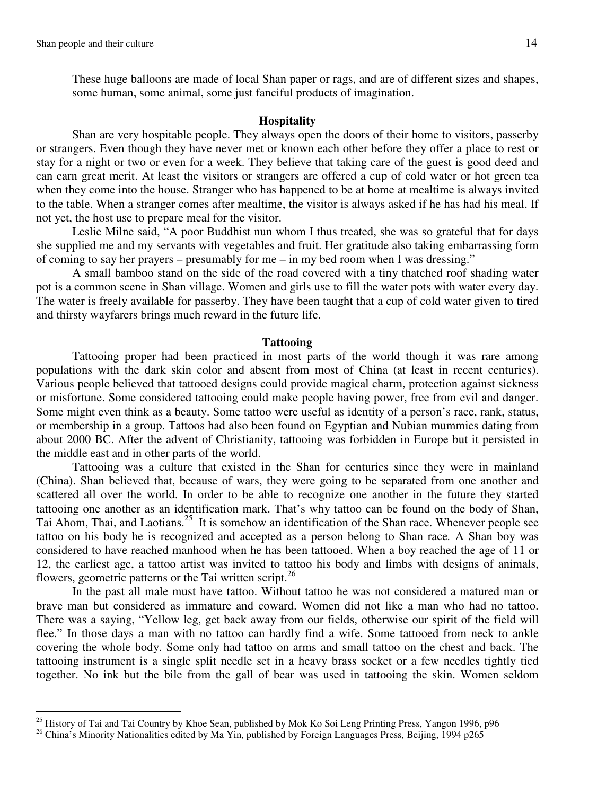$\overline{a}$ 

These huge balloons are made of local Shan paper or rags, and are of different sizes and shapes, some human, some animal, some just fanciful products of imagination.

#### **Hospitality**

Shan are very hospitable people. They always open the doors of their home to visitors, passerby or strangers. Even though they have never met or known each other before they offer a place to rest or stay for a night or two or even for a week. They believe that taking care of the guest is good deed and can earn great merit. At least the visitors or strangers are offered a cup of cold water or hot green tea when they come into the house. Stranger who has happened to be at home at mealtime is always invited to the table. When a stranger comes after mealtime, the visitor is always asked if he has had his meal. If not yet, the host use to prepare meal for the visitor.

Leslie Milne said, "A poor Buddhist nun whom I thus treated, she was so grateful that for days she supplied me and my servants with vegetables and fruit. Her gratitude also taking embarrassing form of coming to say her prayers – presumably for me – in my bed room when I was dressing."

A small bamboo stand on the side of the road covered with a tiny thatched roof shading water pot is a common scene in Shan village. Women and girls use to fill the water pots with water every day. The water is freely available for passerby. They have been taught that a cup of cold water given to tired and thirsty wayfarers brings much reward in the future life.

#### **Tattooing**

 Tattooing proper had been practiced in most parts of the world though it was rare among populations with the dark skin color and absent from most of China (at least in recent centuries). Various people believed that tattooed designs could provide magical charm, protection against sickness or misfortune. Some considered tattooing could make people having power, free from evil and danger. Some might even think as a beauty. Some tattoo were useful as identity of a person's race, rank, status, or membership in a group. Tattoos had also been found on Egyptian and Nubian mummies dating from about 2000 BC. After the advent of Christianity, tattooing was forbidden in Europe but it persisted in the middle east and in other parts of the world.

 Tattooing was a culture that existed in the Shan for centuries since they were in mainland (China). Shan believed that, because of wars, they were going to be separated from one another and scattered all over the world. In order to be able to recognize one another in the future they started tattooing one another as an identification mark. That's why tattoo can be found on the body of Shan, Tai Ahom, Thai, and Laotians.<sup>25</sup> It is somehow an identification of the Shan race. Whenever people see tattoo on his body he is recognized and accepted as a person belong to Shan race*.* A Shan boy was considered to have reached manhood when he has been tattooed. When a boy reached the age of 11 or 12, the earliest age, a tattoo artist was invited to tattoo his body and limbs with designs of animals, flowers, geometric patterns or the Tai written script.<sup>26</sup>

In the past all male must have tattoo. Without tattoo he was not considered a matured man or brave man but considered as immature and coward. Women did not like a man who had no tattoo. There was a saying, "Yellow leg, get back away from our fields, otherwise our spirit of the field will flee." In those days a man with no tattoo can hardly find a wife. Some tattooed from neck to ankle covering the whole body. Some only had tattoo on arms and small tattoo on the chest and back. The tattooing instrument is a single split needle set in a heavy brass socket or a few needles tightly tied together. No ink but the bile from the gall of bear was used in tattooing the skin. Women seldom

<sup>&</sup>lt;sup>25</sup> History of Tai and Tai Country by Khoe Sean, published by Mok Ko Soi Leng Printing Press, Yangon 1996, p96

<sup>&</sup>lt;sup>26</sup> China's Minority Nationalities edited by Ma Yin, published by Foreign Languages Press, Beijing, 1994 p265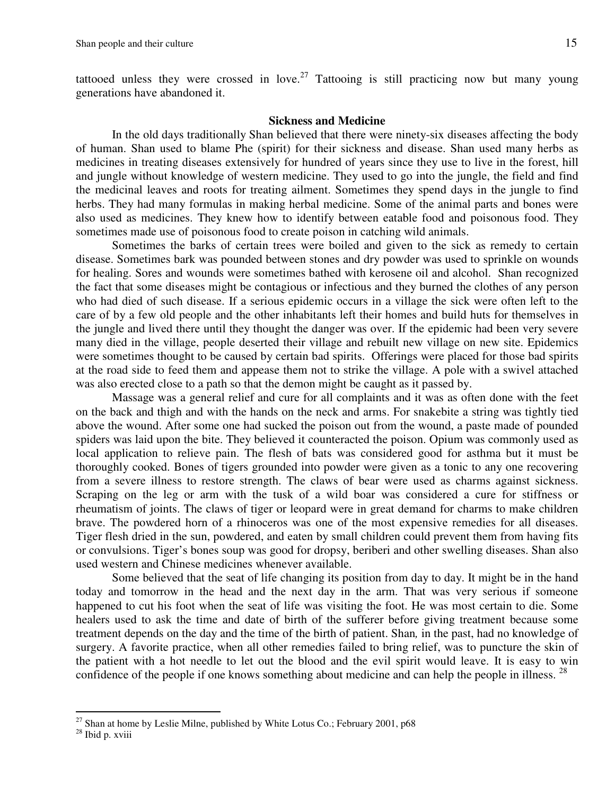tattooed unless they were crossed in love.<sup>27</sup> Tattooing is still practicing now but many young generations have abandoned it.

#### **Sickness and Medicine**

 In the old days traditionally Shan believed that there were ninety-six diseases affecting the body of human. Shan used to blame Phe (spirit) for their sickness and disease. Shan used many herbs as medicines in treating diseases extensively for hundred of years since they use to live in the forest, hill and jungle without knowledge of western medicine. They used to go into the jungle, the field and find the medicinal leaves and roots for treating ailment. Sometimes they spend days in the jungle to find herbs. They had many formulas in making herbal medicine. Some of the animal parts and bones were also used as medicines. They knew how to identify between eatable food and poisonous food. They sometimes made use of poisonous food to create poison in catching wild animals.

 Sometimes the barks of certain trees were boiled and given to the sick as remedy to certain disease. Sometimes bark was pounded between stones and dry powder was used to sprinkle on wounds for healing. Sores and wounds were sometimes bathed with kerosene oil and alcohol. Shan recognized the fact that some diseases might be contagious or infectious and they burned the clothes of any person who had died of such disease. If a serious epidemic occurs in a village the sick were often left to the care of by a few old people and the other inhabitants left their homes and build huts for themselves in the jungle and lived there until they thought the danger was over. If the epidemic had been very severe many died in the village, people deserted their village and rebuilt new village on new site. Epidemics were sometimes thought to be caused by certain bad spirits. Offerings were placed for those bad spirits at the road side to feed them and appease them not to strike the village. A pole with a swivel attached was also erected close to a path so that the demon might be caught as it passed by.

 Massage was a general relief and cure for all complaints and it was as often done with the feet on the back and thigh and with the hands on the neck and arms. For snakebite a string was tightly tied above the wound. After some one had sucked the poison out from the wound, a paste made of pounded spiders was laid upon the bite. They believed it counteracted the poison. Opium was commonly used as local application to relieve pain. The flesh of bats was considered good for asthma but it must be thoroughly cooked. Bones of tigers grounded into powder were given as a tonic to any one recovering from a severe illness to restore strength. The claws of bear were used as charms against sickness. Scraping on the leg or arm with the tusk of a wild boar was considered a cure for stiffness or rheumatism of joints. The claws of tiger or leopard were in great demand for charms to make children brave. The powdered horn of a rhinoceros was one of the most expensive remedies for all diseases. Tiger flesh dried in the sun, powdered, and eaten by small children could prevent them from having fits or convulsions. Tiger's bones soup was good for dropsy, beriberi and other swelling diseases. Shan also used western and Chinese medicines whenever available.

 Some believed that the seat of life changing its position from day to day. It might be in the hand today and tomorrow in the head and the next day in the arm. That was very serious if someone happened to cut his foot when the seat of life was visiting the foot. He was most certain to die. Some healers used to ask the time and date of birth of the sufferer before giving treatment because some treatment depends on the day and the time of the birth of patient. Shan*,* in the past, had no knowledge of surgery. A favorite practice, when all other remedies failed to bring relief, was to puncture the skin of the patient with a hot needle to let out the blood and the evil spirit would leave. It is easy to win confidence of the people if one knows something about medicine and can help the people in illness. <sup>28</sup>

 $^{27}$  Shan at home by Leslie Milne, published by White Lotus Co.; February 2001, p68

<sup>28</sup> Ibid p. xviii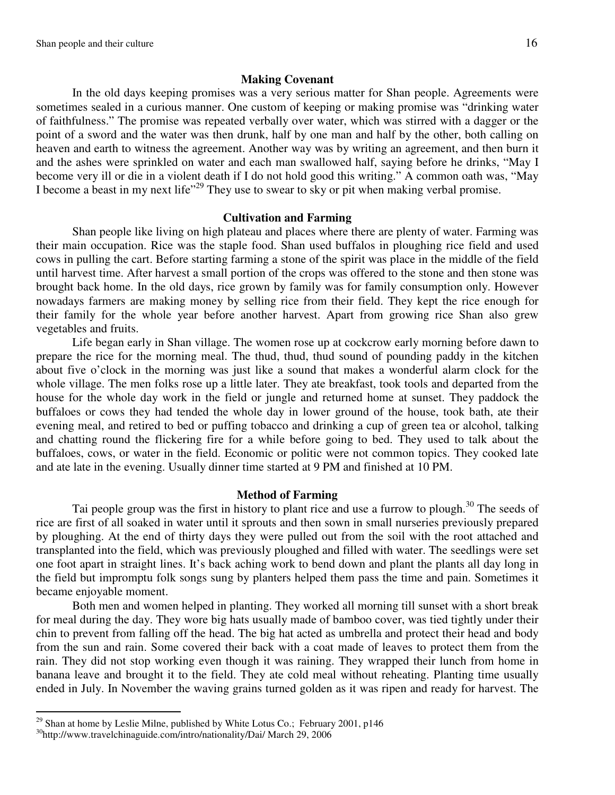#### **Making Covenant**

 In the old days keeping promises was a very serious matter for Shan people. Agreements were sometimes sealed in a curious manner. One custom of keeping or making promise was "drinking water of faithfulness." The promise was repeated verbally over water, which was stirred with a dagger or the point of a sword and the water was then drunk, half by one man and half by the other, both calling on heaven and earth to witness the agreement. Another way was by writing an agreement, and then burn it and the ashes were sprinkled on water and each man swallowed half, saying before he drinks, "May I become very ill or die in a violent death if I do not hold good this writing." A common oath was, "May I become a beast in my next life"<sup>29</sup> They use to swear to sky or pit when making verbal promise.

#### **Cultivation and Farming**

Shan people like living on high plateau and places where there are plenty of water. Farming was their main occupation. Rice was the staple food. Shan used buffalos in ploughing rice field and used cows in pulling the cart. Before starting farming a stone of the spirit was place in the middle of the field until harvest time. After harvest a small portion of the crops was offered to the stone and then stone was brought back home. In the old days, rice grown by family was for family consumption only. However nowadays farmers are making money by selling rice from their field. They kept the rice enough for their family for the whole year before another harvest. Apart from growing rice Shan also grew vegetables and fruits.

 Life began early in Shan village. The women rose up at cockcrow early morning before dawn to prepare the rice for the morning meal. The thud, thud, thud sound of pounding paddy in the kitchen about five o'clock in the morning was just like a sound that makes a wonderful alarm clock for the whole village. The men folks rose up a little later. They ate breakfast, took tools and departed from the house for the whole day work in the field or jungle and returned home at sunset. They paddock the buffaloes or cows they had tended the whole day in lower ground of the house, took bath, ate their evening meal, and retired to bed or puffing tobacco and drinking a cup of green tea or alcohol, talking and chatting round the flickering fire for a while before going to bed. They used to talk about the buffaloes, cows, or water in the field. Economic or politic were not common topics. They cooked late and ate late in the evening. Usually dinner time started at 9 PM and finished at 10 PM.

#### **Method of Farming**

Tai people group was the first in history to plant rice and use a furrow to plough.<sup>30</sup> The seeds of rice are first of all soaked in water until it sprouts and then sown in small nurseries previously prepared by ploughing. At the end of thirty days they were pulled out from the soil with the root attached and transplanted into the field, which was previously ploughed and filled with water. The seedlings were set one foot apart in straight lines. It's back aching work to bend down and plant the plants all day long in the field but impromptu folk songs sung by planters helped them pass the time and pain. Sometimes it became enjoyable moment.

 Both men and women helped in planting. They worked all morning till sunset with a short break for meal during the day. They wore big hats usually made of bamboo cover, was tied tightly under their chin to prevent from falling off the head. The big hat acted as umbrella and protect their head and body from the sun and rain. Some covered their back with a coat made of leaves to protect them from the rain. They did not stop working even though it was raining. They wrapped their lunch from home in banana leave and brought it to the field. They ate cold meal without reheating. Planting time usually ended in July. In November the waving grains turned golden as it was ripen and ready for harvest. The

<sup>&</sup>lt;sup>29</sup> Shan at home by Leslie Milne, published by White Lotus Co.; February 2001, p146

<sup>30</sup>http://www.travelchinaguide.com/intro/nationality/Dai/ March 29, 2006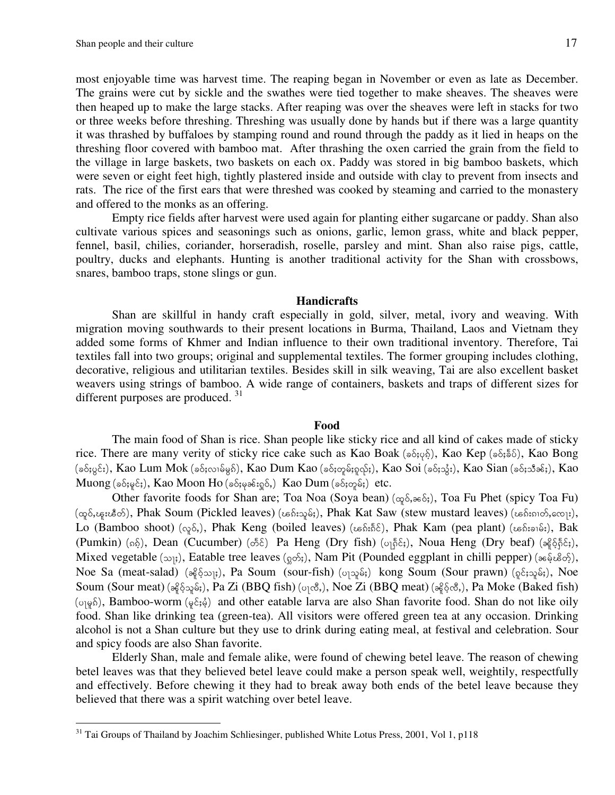l

most enjoyable time was harvest time. The reaping began in November or even as late as December. The grains were cut by sickle and the swathes were tied together to make sheaves. The sheaves were then heaped up to make the large stacks. After reaping was over the sheaves were left in stacks for two or three weeks before threshing. Threshing was usually done by hands but if there was a large quantity it was thrashed by buffaloes by stamping round and round through the paddy as it lied in heaps on the threshing floor covered with bamboo mat. After thrashing the oxen carried the grain from the field to the village in large baskets, two baskets on each ox. Paddy was stored in big bamboo baskets, which were seven or eight feet high, tightly plastered inside and outside with clay to prevent from insects and rats. The rice of the first ears that were threshed was cooked by steaming and carried to the monastery and offered to the monks as an offering.

 Empty rice fields after harvest were used again for planting either sugarcane or paddy. Shan also cultivate various spices and seasonings such as onions, garlic, lemon grass, white and black pepper, fennel, basil, chilies, coriander, horseradish, roselle, parsley and mint. Shan also raise pigs, cattle, poultry, ducks and elephants. Hunting is another traditional activity for the Shan with crossbows, snares, bamboo traps, stone slings or gun.

#### **Handicrafts**

Shan are skillful in handy craft especially in gold, silver, metal, ivory and weaving. With migration moving southwards to their present locations in Burma, Thailand, Laos and Vietnam they added some forms of Khmer and Indian influence to their own traditional inventory. Therefore, Tai textiles fall into two groups; original and supplemental textiles. The former grouping includes clothing, decorative, religious and utilitarian textiles. Besides skill in silk weaving, Tai are also excellent basket weavers using strings of bamboo. A wide range of containers, baskets and traps of different sizes for different purposes are produced.<sup>31</sup>

#### **Food**

 The main food of Shan is rice. Shan people like sticky rice and all kind of cakes made of sticky rice. There are many verity of sticky rice cake such as Kao Boak ( $\delta$ ; $\delta$ ; $\delta$ ), Kao Kep ( $\delta$ ; $\delta$ ; $\delta$ ), Kao Bong  $p(s_0, s_0; \delta; \chi_0)$ , Kao Lum Mok (sof;conθgs), Kao Dum Kao (sof;σρθ;ροδ;), Kao Soi (sof;33;), Kao Sian (sof;35θε;), Kao  $M$ uong ( $\delta$ ; $\varphi$ င်;), Kao Moon Ho ( $\delta$ ; $\varphi$ ခင်း $\varphi$ င်,) Kao Dum ( $\delta$ ; $\varphi$ ှမ်;) etc.

Other favorite foods for Shan are; Toa Noa (Soya bean) ( $\infty$  $\delta$ , $\infty$  $\delta$ ;), Toa Fu Phet (spicy Toa Fu)  $(\infty, \infty)$ , Phak Soum (Pickled leaves) (ၾေးသူမ်း), Phak Kat Saw (stew mustard leaves) (ၾေးကတ်,တျေး), Lo (Bamboo shoot) ( $\varphi$ ,  $\delta$ ), Phak Keng (boiled leaves) ( $\varphi$   $\delta$ ; $\delta$ ), Phak Kam (pea plant) ( $\varphi$  $\delta$ ; $\varphi$ ;), Bak  $(Pumkin)$  ( $\delta$ ), Dean (Cucumber) ( $\delta$ ), Pa Heng (Dry fish) ( $\delta$ <sub>1</sub> $\delta$ ), Noua Heng (Dry beaf) ( $\delta$  $\delta$  $\delta$  $\delta$ ), Mixed vegetable ( $\infty$ <sub>j</sub>), Eatable tree leaves ( $\infty$ s<sub>i</sub>), Nam Pit (Pounded eggplant in chilli pepper) (<sub>ag</sub>es), Noe Sa (meat-salad)  $(a_0^2\delta_0\omega_B)$ , Pa Soum (sour-fish) ( $o_1\omega_B\delta_i$ ) kong Soum (Sour prawn) ( $o_1\delta_i\omega_B\delta_i$ ), Noe Soum (Sour meat) ( $\partial_6 \partial_2 \partial_2 \partial_3$ ;), Pa Zi (BBQ fish) ( $\partial_1 \partial_2 \partial_3$ ), Noe Zi (BBQ meat) ( $\partial_6 \partial_5 \partial_3$ ), Pa Moke (Baked fish)  $(\circ \otimes \hat{\mathfrak{h}})$ , Bamboo-worm  $(\circ \hat{\mathfrak{e}};\hat{\mathfrak{e}})$  and other eatable larva are also Shan favorite food. Shan do not like oily food. Shan like drinking tea (green-tea). All visitors were offered green tea at any occasion. Drinking alcohol is not a Shan culture but they use to drink during eating meal, at festival and celebration. Sour and spicy foods are also Shan favorite.

Elderly Shan, male and female alike, were found of chewing betel leave. The reason of chewing betel leaves was that they believed betel leave could make a person speak well, weightily, respectfully and effectively. Before chewing it they had to break away both ends of the betel leave because they believed that there was a spirit watching over betel leave.

 $31$  Tai Groups of Thailand by Joachim Schliesinger, published White Lotus Press, 2001, Vol 1, p118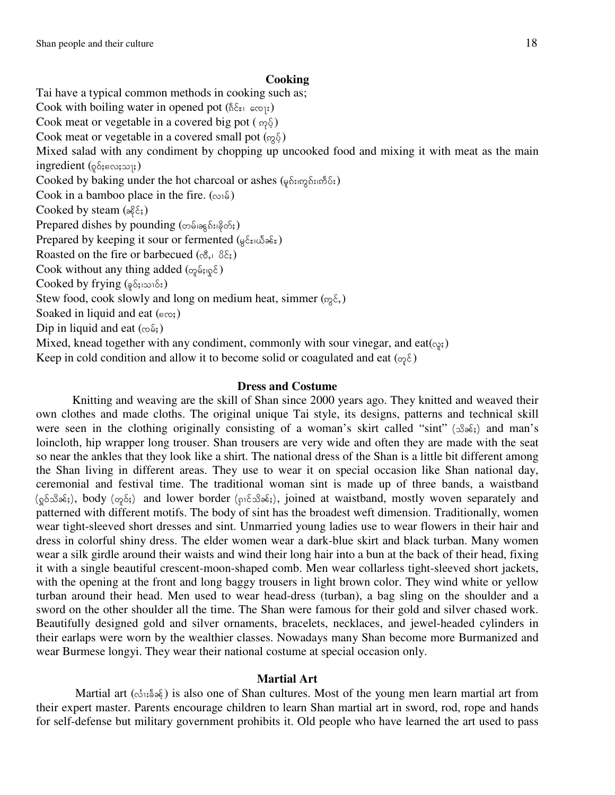#### **Cooking**

Tai have a typical common methods in cooking such as; Cook with boiling water in opened pot  $(\xi \xi)$  acq;) Cook meat or vegetable in a covered big pot  $(\omega_0, \delta)$ Cook meat or vegetable in a covered small pot  $(\infty, \S)$ Mixed salad with any condiment by chopping up uncooked food and mixing it with meat as the main  $ingredient (p\delta_j \epsilon \omega_j \omega_j)$ Cooked by baking under the hot charcoal or ashes (คุธ์มฤรร์มเอ็ย์;) Cook in a bamboo place in the fire.  $(\infty)$ Cooked by steam  $(\partial \xi \xi)$ Prepared dishes by pounding  $(\infty)$ <sub>iag</sub>  $\hat{\delta}$ <sub>i</sub>, $\hat{\delta}$ <sub>2</sub>, Prepared by keeping it sour or fermented ( $\oint$ ειωδ $\delta$ ε) Roasted on the fire or barbecued  $(\mathfrak{G}, \mathfrak{g})$ Cook without any thing added  $(\varphi_{\beta} \hat{\mathfrak{s}})$ Cooked by frying  $(\frac{1}{2} \delta_{\frac{1}{2}} \cos \delta_{\frac{1}{2}})$ Stew food, cook slowly and long on medium heat, simmer ( $\delta \xi$ ) Soaked in liquid and eat  $(\epsilon_{\infty})$ Dip in liquid and eat  $(\infty \, \delta)$ Mixed, knead together with any condiment, commonly with sour vinegar, and eat( $\varphi$ ) Keep in cold condition and allow it to become solid or coagulated and eat  $(\varphi \xi)$ 

#### **Dress and Costume**

 Knitting and weaving are the skill of Shan since 2000 years ago. They knitted and weaved their own clothes and made cloths. The original unique Tai style, its designs, patterns and technical skill were seen in the clothing originally consisting of a woman's skirt called "sint" ( $\Im$  $\delta$  $\delta$ ;) and man's loincloth, hip wrapper long trouser. Shan trousers are very wide and often they are made with the seat so near the ankles that they look like a shirt. The national dress of the Shan is a little bit different among the Shan living in different areas. They use to wear it on special occasion like Shan national day, ceremonial and festival time. The traditional woman sint is made up of three bands, a waistband  $(\varphi_0 \circ \varphi_3 \circ \varphi_5)$  and lower border ( $\varphi_1 \circ \varphi_5 \circ \varphi_5$ ), joined at waistband, mostly woven separately and patterned with different motifs. The body of sint has the broadest weft dimension. Traditionally, women wear tight-sleeved short dresses and sint. Unmarried young ladies use to wear flowers in their hair and dress in colorful shiny dress. The elder women wear a dark-blue skirt and black turban. Many women wear a silk girdle around their waists and wind their long hair into a bun at the back of their head, fixing it with a single beautiful crescent-moon-shaped comb. Men wear collarless tight-sleeved short jackets, with the opening at the front and long baggy trousers in light brown color. They wind white or yellow turban around their head. Men used to wear head-dress (turban), a bag sling on the shoulder and a sword on the other shoulder all the time. The Shan were famous for their gold and silver chased work. Beautifully designed gold and silver ornaments, bracelets, necklaces, and jewel-headed cylinders in their earlaps were worn by the wealthier classes. Nowadays many Shan become more Burmanized and wear Burmese longyi. They wear their national costume at special occasion only.

#### **Martial Art**

Martial art  $(\delta_0, \delta_0, \delta_0)$  is also one of Shan cultures. Most of the young men learn martial art from their expert master. Parents encourage children to learn Shan martial art in sword, rod, rope and hands for self-defense but military government prohibits it. Old people who have learned the art used to pass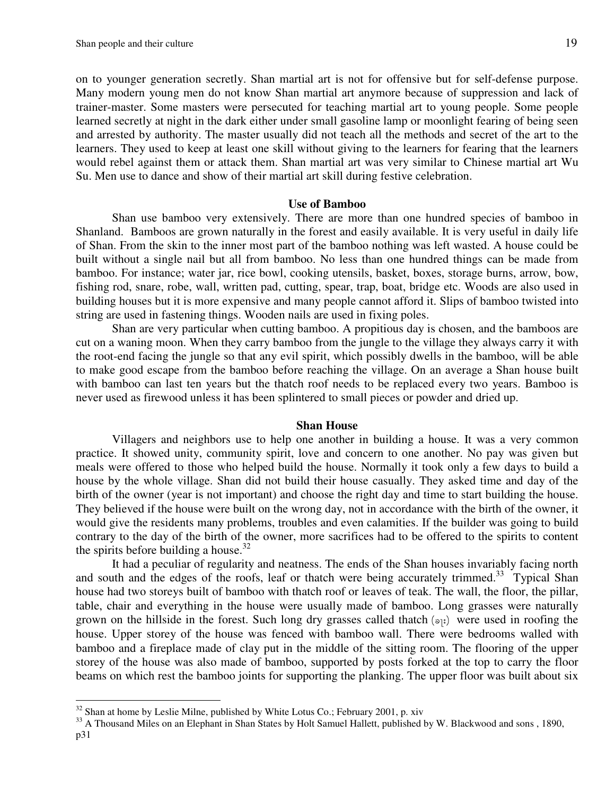on to younger generation secretly. Shan martial art is not for offensive but for self-defense purpose. Many modern young men do not know Shan martial art anymore because of suppression and lack of trainer-master. Some masters were persecuted for teaching martial art to young people. Some people learned secretly at night in the dark either under small gasoline lamp or moonlight fearing of being seen and arrested by authority. The master usually did not teach all the methods and secret of the art to the learners. They used to keep at least one skill without giving to the learners for fearing that the learners would rebel against them or attack them. Shan martial art was very similar to Chinese martial art Wu Su. Men use to dance and show of their martial art skill during festive celebration.

#### **Use of Bamboo**

 Shan use bamboo very extensively. There are more than one hundred species of bamboo in Shanland. Bamboos are grown naturally in the forest and easily available. It is very useful in daily life of Shan. From the skin to the inner most part of the bamboo nothing was left wasted. A house could be built without a single nail but all from bamboo. No less than one hundred things can be made from bamboo. For instance; water jar, rice bowl, cooking utensils, basket, boxes, storage burns, arrow, bow, fishing rod, snare, robe, wall, written pad, cutting, spear, trap, boat, bridge etc. Woods are also used in building houses but it is more expensive and many people cannot afford it. Slips of bamboo twisted into string are used in fastening things. Wooden nails are used in fixing poles.

Shan are very particular when cutting bamboo. A propitious day is chosen, and the bamboos are cut on a waning moon. When they carry bamboo from the jungle to the village they always carry it with the root-end facing the jungle so that any evil spirit, which possibly dwells in the bamboo, will be able to make good escape from the bamboo before reaching the village. On an average a Shan house built with bamboo can last ten years but the thatch roof needs to be replaced every two years. Bamboo is never used as firewood unless it has been splintered to small pieces or powder and dried up.

#### **Shan House**

 Villagers and neighbors use to help one another in building a house. It was a very common practice. It showed unity, community spirit, love and concern to one another. No pay was given but meals were offered to those who helped build the house. Normally it took only a few days to build a house by the whole village. Shan did not build their house casually. They asked time and day of the birth of the owner (year is not important) and choose the right day and time to start building the house. They believed if the house were built on the wrong day, not in accordance with the birth of the owner, it would give the residents many problems, troubles and even calamities. If the builder was going to build contrary to the day of the birth of the owner, more sacrifices had to be offered to the spirits to content the spirits before building a house.<sup>32</sup>

It had a peculiar of regularity and neatness. The ends of the Shan houses invariably facing north and south and the edges of the roofs, leaf or thatch were being accurately trimmed.<sup>33</sup> Typical Shan house had two storeys built of bamboo with thatch roof or leaves of teak. The wall, the floor, the pillar, table, chair and everything in the house were usually made of bamboo. Long grasses were naturally grown on the hillside in the forest. Such long dry grasses called thatch  $(s_{\mathbb{R}})$  were used in roofing the house. Upper storey of the house was fenced with bamboo wall. There were bedrooms walled with bamboo and a fireplace made of clay put in the middle of the sitting room. The flooring of the upper storey of the house was also made of bamboo, supported by posts forked at the top to carry the floor beams on which rest the bamboo joints for supporting the planking. The upper floor was built about six

 $32$  Shan at home by Leslie Milne, published by White Lotus Co.; February 2001, p. xiv

<sup>&</sup>lt;sup>33</sup> A Thousand Miles on an Elephant in Shan States by Holt Samuel Hallett, published by W. Blackwood and sons, 1890, p31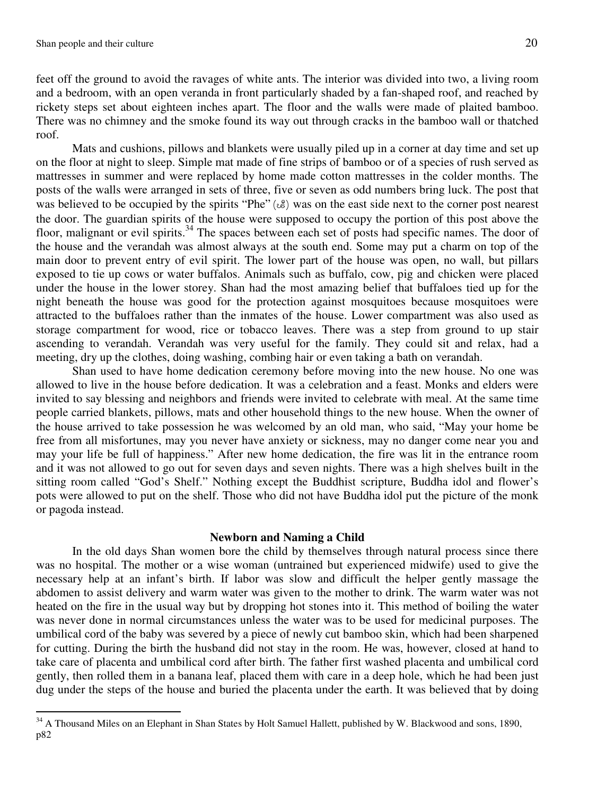$\overline{a}$ 

feet off the ground to avoid the ravages of white ants. The interior was divided into two, a living room and a bedroom, with an open veranda in front particularly shaded by a fan-shaped roof, and reached by rickety steps set about eighteen inches apart. The floor and the walls were made of plaited bamboo. There was no chimney and the smoke found its way out through cracks in the bamboo wall or thatched roof.

 Mats and cushions, pillows and blankets were usually piled up in a corner at day time and set up on the floor at night to sleep. Simple mat made of fine strips of bamboo or of a species of rush served as mattresses in summer and were replaced by home made cotton mattresses in the colder months. The posts of the walls were arranged in sets of three, five or seven as odd numbers bring luck. The post that was believed to be occupied by the spirits "Phe"  $(\&)$  was on the east side next to the corner post nearest the door. The guardian spirits of the house were supposed to occupy the portion of this post above the floor, malignant or evil spirits.<sup>34</sup> The spaces between each set of posts had specific names. The door of the house and the verandah was almost always at the south end. Some may put a charm on top of the main door to prevent entry of evil spirit. The lower part of the house was open, no wall, but pillars exposed to tie up cows or water buffalos. Animals such as buffalo, cow, pig and chicken were placed under the house in the lower storey. Shan had the most amazing belief that buffaloes tied up for the night beneath the house was good for the protection against mosquitoes because mosquitoes were attracted to the buffaloes rather than the inmates of the house. Lower compartment was also used as storage compartment for wood, rice or tobacco leaves. There was a step from ground to up stair ascending to verandah. Verandah was very useful for the family. They could sit and relax, had a meeting, dry up the clothes, doing washing, combing hair or even taking a bath on verandah.

Shan used to have home dedication ceremony before moving into the new house. No one was allowed to live in the house before dedication. It was a celebration and a feast. Monks and elders were invited to say blessing and neighbors and friends were invited to celebrate with meal. At the same time people carried blankets, pillows, mats and other household things to the new house. When the owner of the house arrived to take possession he was welcomed by an old man, who said, "May your home be free from all misfortunes, may you never have anxiety or sickness, may no danger come near you and may your life be full of happiness." After new home dedication, the fire was lit in the entrance room and it was not allowed to go out for seven days and seven nights. There was a high shelves built in the sitting room called "God's Shelf." Nothing except the Buddhist scripture, Buddha idol and flower's pots were allowed to put on the shelf. Those who did not have Buddha idol put the picture of the monk or pagoda instead.

#### **Newborn and Naming a Child**

 In the old days Shan women bore the child by themselves through natural process since there was no hospital. The mother or a wise woman (untrained but experienced midwife) used to give the necessary help at an infant's birth. If labor was slow and difficult the helper gently massage the abdomen to assist delivery and warm water was given to the mother to drink. The warm water was not heated on the fire in the usual way but by dropping hot stones into it. This method of boiling the water was never done in normal circumstances unless the water was to be used for medicinal purposes. The umbilical cord of the baby was severed by a piece of newly cut bamboo skin, which had been sharpened for cutting. During the birth the husband did not stay in the room. He was, however, closed at hand to take care of placenta and umbilical cord after birth. The father first washed placenta and umbilical cord gently, then rolled them in a banana leaf, placed them with care in a deep hole, which he had been just dug under the steps of the house and buried the placenta under the earth. It was believed that by doing

<sup>&</sup>lt;sup>34</sup> A Thousand Miles on an Elephant in Shan States by Holt Samuel Hallett, published by W. Blackwood and sons, 1890, p82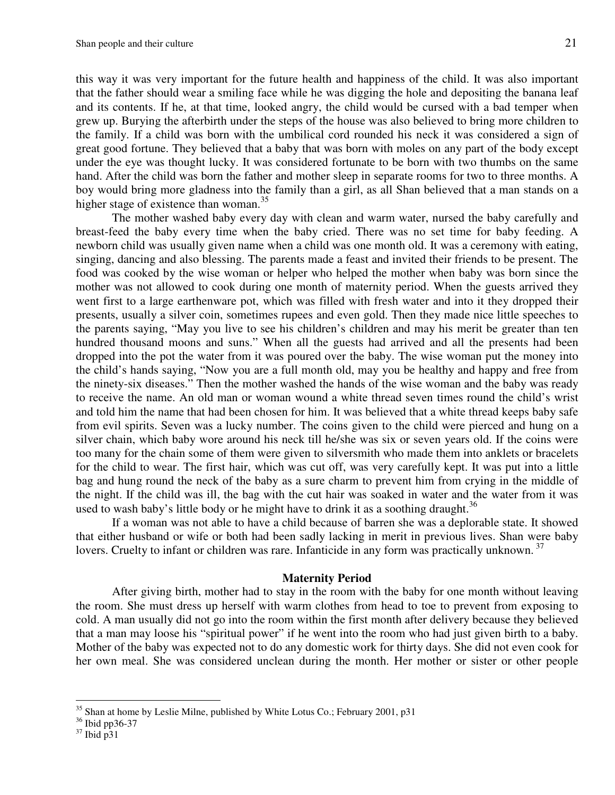this way it was very important for the future health and happiness of the child. It was also important that the father should wear a smiling face while he was digging the hole and depositing the banana leaf and its contents. If he, at that time, looked angry, the child would be cursed with a bad temper when grew up. Burying the afterbirth under the steps of the house was also believed to bring more children to the family. If a child was born with the umbilical cord rounded his neck it was considered a sign of great good fortune. They believed that a baby that was born with moles on any part of the body except under the eye was thought lucky. It was considered fortunate to be born with two thumbs on the same hand. After the child was born the father and mother sleep in separate rooms for two to three months. A boy would bring more gladness into the family than a girl, as all Shan believed that a man stands on a higher stage of existence than woman.<sup>35</sup>

 The mother washed baby every day with clean and warm water, nursed the baby carefully and breast-feed the baby every time when the baby cried. There was no set time for baby feeding. A newborn child was usually given name when a child was one month old. It was a ceremony with eating, singing, dancing and also blessing. The parents made a feast and invited their friends to be present. The food was cooked by the wise woman or helper who helped the mother when baby was born since the mother was not allowed to cook during one month of maternity period. When the guests arrived they went first to a large earthenware pot, which was filled with fresh water and into it they dropped their presents, usually a silver coin, sometimes rupees and even gold. Then they made nice little speeches to the parents saying, "May you live to see his children's children and may his merit be greater than ten hundred thousand moons and suns." When all the guests had arrived and all the presents had been dropped into the pot the water from it was poured over the baby. The wise woman put the money into the child's hands saying, "Now you are a full month old, may you be healthy and happy and free from the ninety-six diseases." Then the mother washed the hands of the wise woman and the baby was ready to receive the name. An old man or woman wound a white thread seven times round the child's wrist and told him the name that had been chosen for him. It was believed that a white thread keeps baby safe from evil spirits. Seven was a lucky number. The coins given to the child were pierced and hung on a silver chain, which baby wore around his neck till he/she was six or seven years old. If the coins were too many for the chain some of them were given to silversmith who made them into anklets or bracelets for the child to wear. The first hair, which was cut off, was very carefully kept. It was put into a little bag and hung round the neck of the baby as a sure charm to prevent him from crying in the middle of the night. If the child was ill, the bag with the cut hair was soaked in water and the water from it was used to wash baby's little body or he might have to drink it as a soothing draught.<sup>36</sup>

 If a woman was not able to have a child because of barren she was a deplorable state. It showed that either husband or wife or both had been sadly lacking in merit in previous lives. Shan were baby lovers. Cruelty to infant or children was rare. Infanticide in any form was practically unknown.<sup>37</sup>

#### **Maternity Period**

 After giving birth, mother had to stay in the room with the baby for one month without leaving the room. She must dress up herself with warm clothes from head to toe to prevent from exposing to cold. A man usually did not go into the room within the first month after delivery because they believed that a man may loose his "spiritual power" if he went into the room who had just given birth to a baby. Mother of the baby was expected not to do any domestic work for thirty days. She did not even cook for her own meal. She was considered unclean during the month. Her mother or sister or other people

<sup>&</sup>lt;sup>35</sup> Shan at home by Leslie Milne, published by White Lotus Co.; February 2001, p31

<sup>36</sup> Ibid pp36-37

 $37$  Ibid p $31$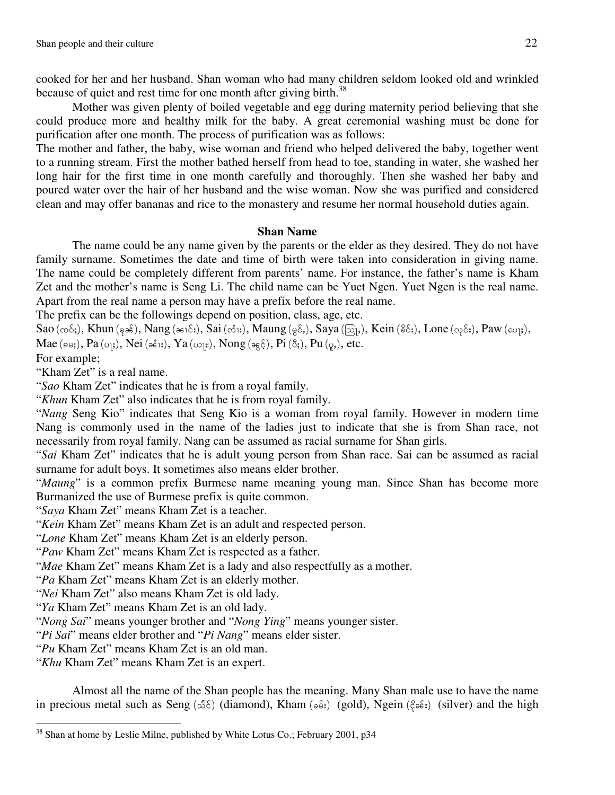cooked for her and her husband. Shan woman who had many children seldom looked old and wrinkled because of quiet and rest time for one month after giving birth.<sup>38</sup>

 Mother was given plenty of boiled vegetable and egg during maternity period believing that she could produce more and healthy milk for the baby. A great ceremonial washing must be done for purification after one month. The process of purification was as follows:

The mother and father, the baby, wise woman and friend who helped delivered the baby, together went to a running stream. First the mother bathed herself from head to toe, standing in water, she washed her long hair for the first time in one month carefully and thoroughly. Then she washed her baby and poured water over the hair of her husband and the wise woman. Now she was purified and considered clean and may offer bananas and rice to the monastery and resume her normal household duties again.

#### **Shan Name**

 The name could be any name given by the parents or the elder as they desired. They do not have family surname. Sometimes the date and time of birth were taken into consideration in giving name. The name could be completely different from parents' name. For instance, the father's name is Kham Zet and the mother's name is Seng Li. The child name can be Yuet Ngen. Yuet Ngen is the real name. Apart from the real name a person may have a prefix before the real name.

The prefix can be the followings depend on position, class, age, etc.

 $Sao (\infty \delta_i)$ , Khun ( $\varphi \delta_i$ ), Nang ( $\varphi \delta_i$ ;), Sai ( $\phi \delta_i$ ;), Maung ( $\varphi \delta_i$ ), Saya ( $\bar{\omega}_i$ ), Kein ( $\delta \delta_i$ ;), Lone ( $\varphi \delta_i$ ;), Paw ( $\omega_i$ ;), Mae ( $\varepsilon \omega$ ;), Pa ( $\omega$ <sub>j</sub>;), Nei ( $\varepsilon$  $\delta$ <sub>j</sub>;), Ya ( $\omega$ <sub>j</sub> $\varepsilon$ ), Nong ( $\omega$ <sub>5</sub> $\xi$ ), Pi ( $\delta$ <sub>j</sub>), Pu ( $\varphi$ <sub>i</sub>), etc.

For example;

l

"Kham Zet" is a real name.

"*Sao* Kham Zet" indicates that he is from a royal family.

"*Khun* Kham Zet" also indicates that he is from royal family.

"*Nang* Seng Kio" indicates that Seng Kio is a woman from royal family. However in modern time Nang is commonly used in the name of the ladies just to indicate that she is from Shan race, not necessarily from royal family. Nang can be assumed as racial surname for Shan girls.

"*Sai* Kham Zet" indicates that he is adult young person from Shan race. Sai can be assumed as racial surname for adult boys. It sometimes also means elder brother.

"*Maung*" is a common prefix Burmese name meaning young man. Since Shan has become more Burmanized the use of Burmese prefix is quite common.

"*Saya* Kham Zet" means Kham Zet is a teacher.

"*Kein* Kham Zet" means Kham Zet is an adult and respected person.

"*Lone* Kham Zet" means Kham Zet is an elderly person.

"*Paw* Kham Zet" means Kham Zet is respected as a father.

"*Mae* Kham Zet" means Kham Zet is a lady and also respectfully as a mother.

"*Pa* Kham Zet" means Kham Zet is an elderly mother.

"*Nei* Kham Zet" also means Kham Zet is old lady.

"*Ya* Kham Zet" means Kham Zet is an old lady.

"*Nong Sai*" means younger brother and "*Nong Ying*" means younger sister.

"*Pi Sai*" means elder brother and "*Pi Nang*" means elder sister.

"*Pu* Kham Zet" means Kham Zet is an old man.

"*Khu* Kham Zet" means Kham Zet is an expert.

Almost all the name of the Shan people has the meaning. Many Shan male use to have the name in precious metal such as Seng ( $5\delta$ ) (diamond), Kham ( $\delta\delta$ ;) (gold), Ngein ( $\delta\delta$ ;) (silver) and the high

<sup>&</sup>lt;sup>38</sup> Shan at home by Leslie Milne, published by White Lotus Co.; February 2001, p34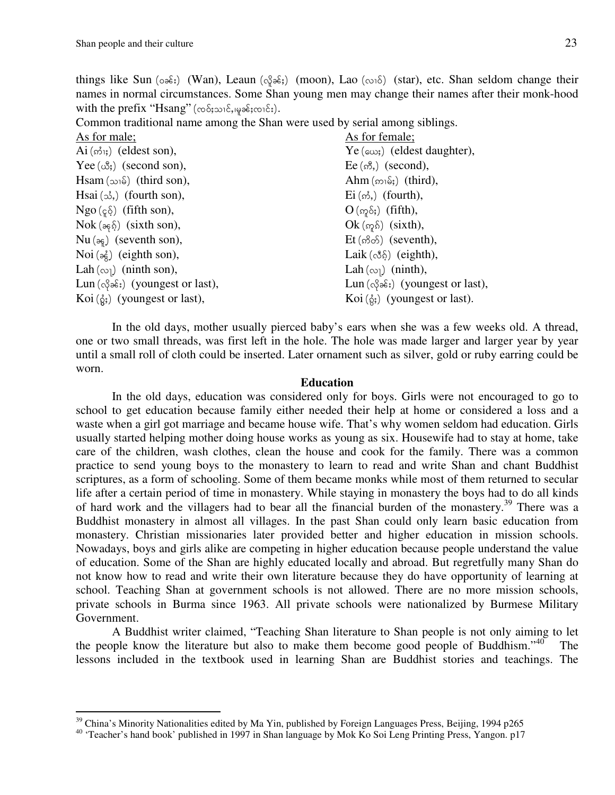$\overline{a}$ 

things like Sun ( $\circ\hat{\sigma}$ s:) (Wan), Leaun ( $\circ\hat{\sigma}$ ss;) (moon), Lao ( $\circ\circ\hat{\sigma}$ ) (star), etc. Shan seldom change their names in normal circumstances. Some Shan young men may change their names after their monk-hood with the prefix " $\text{Hsang}$ " ( $\infty$  $\delta$ ; $\infty$  $\delta$ ; $\infty$  $\delta$ ; $\infty$  $\delta$ ;).

Common traditional name among the Shan were used by serial among siblings.

| As for female;                           |
|------------------------------------------|
| $Ye(\infty)$ (eldest daughter),          |
| $Ee(\mathcal{B}, \mathcal{B})$ (second), |
| Ahm $(m_1\delta)$ (third),               |
| $\operatorname{Ei}(\omega)$ , (fourth),  |
| $O(\omega \delta)$ (fifth),              |
| $Ok$ ( $\eta$ $\delta$ ) (sixth),        |
| $Et$ ( $\delta$ $\delta$ ) (seventh),    |
| Laik $(\delta \xi)$ (eighth),            |
| Lah $(\infty)$ (ninth),                  |
| $Lun(\delta \delta)$ (youngest or last), |
| Koi $(\xi)$ (youngest or last).          |
|                                          |

 In the old days, mother usually pierced baby's ears when she was a few weeks old. A thread, one or two small threads, was first left in the hole. The hole was made larger and larger year by year until a small roll of cloth could be inserted. Later ornament such as silver, gold or ruby earring could be worn.

#### **Education**

 In the old days, education was considered only for boys. Girls were not encouraged to go to school to get education because family either needed their help at home or considered a loss and a waste when a girl got marriage and became house wife. That's why women seldom had education. Girls usually started helping mother doing house works as young as six. Housewife had to stay at home, take care of the children, wash clothes, clean the house and cook for the family. There was a common practice to send young boys to the monastery to learn to read and write Shan and chant Buddhist scriptures, as a form of schooling. Some of them became monks while most of them returned to secular life after a certain period of time in monastery. While staying in monastery the boys had to do all kinds of hard work and the villagers had to bear all the financial burden of the monastery.<sup>39</sup> There was a Buddhist monastery in almost all villages. In the past Shan could only learn basic education from monastery. Christian missionaries later provided better and higher education in mission schools. Nowadays, boys and girls alike are competing in higher education because people understand the value of education. Some of the Shan are highly educated locally and abroad. But regretfully many Shan do not know how to read and write their own literature because they do have opportunity of learning at school. Teaching Shan at government schools is not allowed. There are no more mission schools, private schools in Burma since 1963. All private schools were nationalized by Burmese Military Government.

 A Buddhist writer claimed, "Teaching Shan literature to Shan people is not only aiming to let the people know the literature but also to make them become good people of Buddhism."<sup>40</sup> The lessons included in the textbook used in learning Shan are Buddhist stories and teachings. The

 $39$  China's Minority Nationalities edited by Ma Yin, published by Foreign Languages Press, Beijing, 1994 p265

<sup>&</sup>lt;sup>40</sup> 'Teacher's hand book' published in 1997 in Shan language by Mok Ko Soi Leng Printing Press, Yangon. p17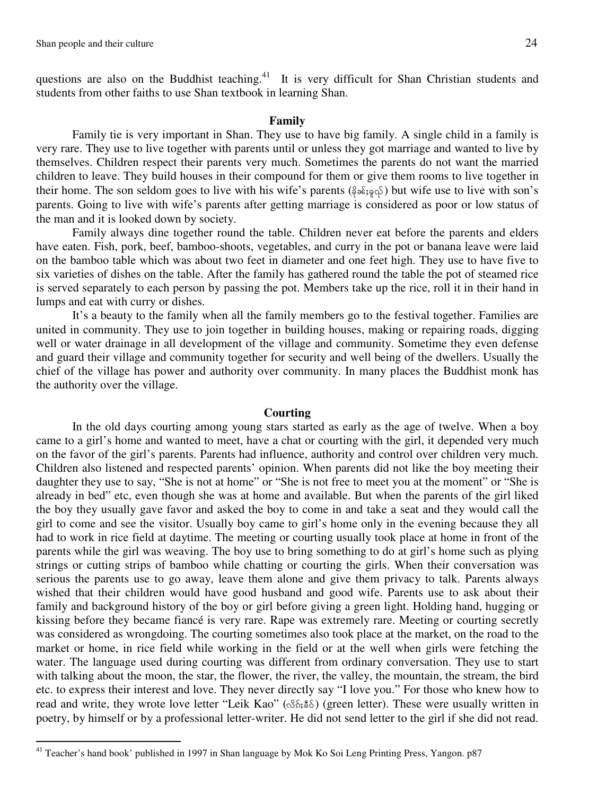l

questions are also on the Buddhist teaching.<sup>41</sup> It is very difficult for Shan Christian students and students from other faiths to use Shan textbook in learning Shan.

#### **Family**

 Family tie is very important in Shan. They use to have big family. A single child in a family is very rare. They use to live together with parents until or unless they got marriage and wanted to live by themselves. Children respect their parents very much. Sometimes the parents do not want the married children to leave. They build houses in their compound for them or give them rooms to live together in their home. The son seldom goes to live with his wife's parents ( $\frac{1}{2}$ , $\frac{1}{2}$ , $\frac{1}{2}$ ) but wife use to live with son's parents. Going to live with wife's parents after getting marriage is considered as poor or low status of the man and it is looked down by society.

 Family always dine together round the table. Children never eat before the parents and elders have eaten. Fish, pork, beef, bamboo-shoots, vegetables, and curry in the pot or banana leave were laid on the bamboo table which was about two feet in diameter and one feet high. They use to have five to six varieties of dishes on the table. After the family has gathered round the table the pot of steamed rice is served separately to each person by passing the pot. Members take up the rice, roll it in their hand in lumps and eat with curry or dishes.

 It's a beauty to the family when all the family members go to the festival together. Families are united in community. They use to join together in building houses, making or repairing roads, digging well or water drainage in all development of the village and community. Sometime they even defense and guard their village and community together for security and well being of the dwellers. Usually the chief of the village has power and authority over community. In many places the Buddhist monk has the authority over the village.

#### **Courting**

 In the old days courting among young stars started as early as the age of twelve. When a boy came to a girl's home and wanted to meet, have a chat or courting with the girl, it depended very much on the favor of the girl's parents. Parents had influence, authority and control over children very much. Children also listened and respected parents' opinion. When parents did not like the boy meeting their daughter they use to say, "She is not at home" or "She is not free to meet you at the moment" or "She is already in bed" etc, even though she was at home and available. But when the parents of the girl liked the boy they usually gave favor and asked the boy to come in and take a seat and they would call the girl to come and see the visitor. Usually boy came to girl's home only in the evening because they all had to work in rice field at daytime. The meeting or courting usually took place at home in front of the parents while the girl was weaving. The boy use to bring something to do at girl's home such as plying strings or cutting strips of bamboo while chatting or courting the girls. When their conversation was serious the parents use to go away, leave them alone and give them privacy to talk. Parents always wished that their children would have good husband and good wife. Parents use to ask about their family and background history of the boy or girl before giving a green light. Holding hand, hugging or kissing before they became fiancé is very rare. Rape was extremely rare. Meeting or courting secretly was considered as wrongdoing. The courting sometimes also took place at the market, on the road to the market or home, in rice field while working in the field or at the well when girls were fetching the water. The language used during courting was different from ordinary conversation. They use to start with talking about the moon, the star, the flower, the river, the valley, the mountain, the stream, the bird etc. to express their interest and love. They never directly say "I love you." For those who knew how to read and write, they wrote love letter "Leik Kao" ( $\Im S$ ;  $\Im \delta$ ) (green letter). These were usually written in poetry, by himself or by a professional letter-writer. He did not send letter to the girl if she did not read.

<sup>&</sup>lt;sup>41</sup> Teacher's hand book' published in 1997 in Shan language by Mok Ko Soi Leng Printing Press, Yangon. p87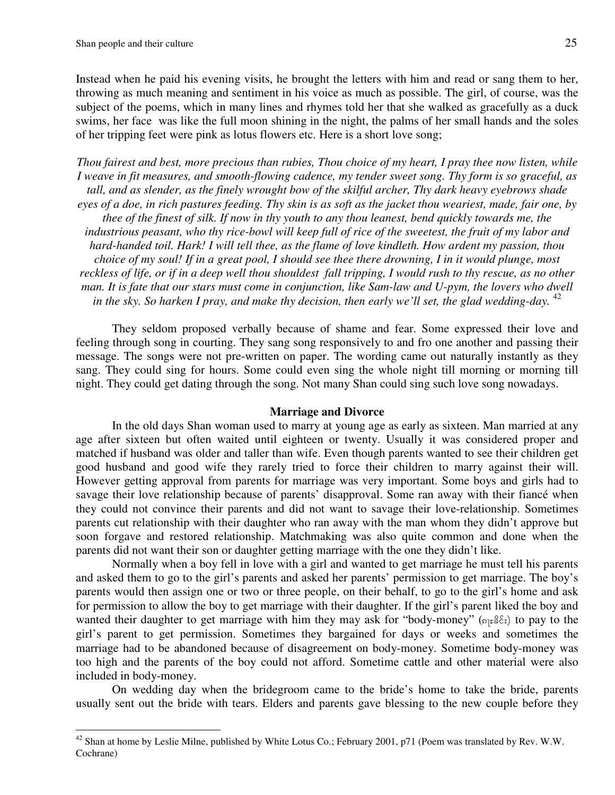$\overline{a}$ 

Instead when he paid his evening visits, he brought the letters with him and read or sang them to her, throwing as much meaning and sentiment in his voice as much as possible. The girl, of course, was the subject of the poems, which in many lines and rhymes told her that she walked as gracefully as a duck swims, her face was like the full moon shining in the night, the palms of her small hands and the soles of her tripping feet were pink as lotus flowers etc. Here is a short love song;

*Thou fairest and best, more precious than rubies, Thou choice of my heart, I pray thee now listen, while I weave in fit measures, and smooth-flowing cadence, my tender sweet song. Thy form is so graceful, as tall, and as slender, as the finely wrought bow of the skilful archer, Thy dark heavy eyebrows shade eyes of a doe, in rich pastures feeding. Thy skin is as soft as the jacket thou weariest, made, fair one, by thee of the finest of silk. If now in thy youth to any thou leanest, bend quickly towards me, the industrious peasant, who thy rice-bowl will keep full of rice of the sweetest, the fruit of my labor and hard-handed toil. Hark! I will tell thee, as the flame of love kindleth. How ardent my passion, thou choice of my soul! If in a great pool, I should see thee there drowning, I in it would plunge, most*  reckless of life, or if in a deep well thou shouldest fall tripping, I would rush to thy rescue, as no other *man. It is fate that our stars must come in conjunction, like Sam-law and U-pym, the lovers who dwell*  in the sky. So harken I pray, and make thy decision, then early we'll set, the glad wedding-day. <sup>42</sup>

 They seldom proposed verbally because of shame and fear. Some expressed their love and feeling through song in courting. They sang song responsively to and fro one another and passing their message. The songs were not pre-written on paper. The wording came out naturally instantly as they sang. They could sing for hours. Some could even sing the whole night till morning or morning till night. They could get dating through the song. Not many Shan could sing such love song nowadays.

#### **Marriage and Divorce**

In the old days Shan woman used to marry at young age as early as sixteen. Man married at any age after sixteen but often waited until eighteen or twenty. Usually it was considered proper and matched if husband was older and taller than wife. Even though parents wanted to see their children get good husband and good wife they rarely tried to force their children to marry against their will. However getting approval from parents for marriage was very important. Some boys and girls had to savage their love relationship because of parents' disapproval. Some ran away with their fiancé when they could not convince their parents and did not want to savage their love-relationship. Sometimes parents cut relationship with their daughter who ran away with the man whom they didn't approve but soon forgave and restored relationship. Matchmaking was also quite common and done when the parents did not want their son or daughter getting marriage with the one they didn't like.

 Normally when a boy fell in love with a girl and wanted to get marriage he must tell his parents and asked them to go to the girl's parents and asked her parents' permission to get marriage. The boy's parents would then assign one or two or three people, on their behalf, to go to the girl's home and ask for permission to allow the boy to get marriage with their daughter. If the girl's parent liked the boy and wanted their daughter to get marriage with him they may ask for "body-money" ( $\sigma$ <sub>1</sub> $\epsilon$ <sup>3</sup> $\epsilon$ <sub>i</sub>) to pay to the girl's parent to get permission. Sometimes they bargained for days or weeks and sometimes the marriage had to be abandoned because of disagreement on body-money. Sometime body-money was too high and the parents of the boy could not afford. Sometime cattle and other material were also included in body-money.

On wedding day when the bridegroom came to the bride's home to take the bride, parents usually sent out the bride with tears. Elders and parents gave blessing to the new couple before they

 $^{42}$  Shan at home by Leslie Milne, published by White Lotus Co.; February 2001, p71 (Poem was translated by Rev. W.W. Cochrane)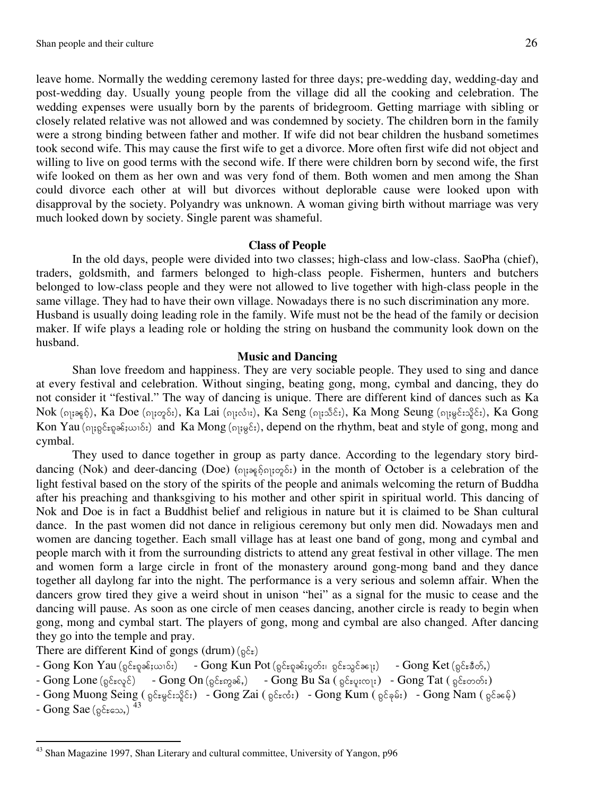leave home. Normally the wedding ceremony lasted for three days; pre-wedding day, wedding-day and post-wedding day. Usually young people from the village did all the cooking and celebration. The wedding expenses were usually born by the parents of bridegroom. Getting marriage with sibling or closely related relative was not allowed and was condemned by society. The children born in the family were a strong binding between father and mother. If wife did not bear children the husband sometimes took second wife. This may cause the first wife to get a divorce. More often first wife did not object and willing to live on good terms with the second wife. If there were children born by second wife, the first wife looked on them as her own and was very fond of them. Both women and men among the Shan could divorce each other at will but divorces without deplorable cause were looked upon with disapproval by the society. Polyandry was unknown. A woman giving birth without marriage was very much looked down by society. Single parent was shameful.

#### **Class of People**

In the old days, people were divided into two classes; high-class and low-class. SaoPha (chief), traders, goldsmith, and farmers belonged to high-class people. Fishermen, hunters and butchers belonged to low-class people and they were not allowed to live together with high-class people in the same village. They had to have their own village. Nowadays there is no such discrimination any more. Husband is usually doing leading role in the family. Wife must not be the head of the family or decision maker. If wife plays a leading role or holding the string on husband the community look down on the husband.

#### **Music and Dancing**

Shan love freedom and happiness. They are very sociable people. They used to sing and dance at every festival and celebration. Without singing, beating gong, mong, cymbal and dancing, they do not consider it "festival." The way of dancing is unique. There are different kind of dances such as Ka Nok (၈၂) နေ့ရှိ), Ka Doe (၈၉) (၈၉), Ka Lai (၈၉၀) (၈၉), Ka Seng (၈၉၁) (၁၉၈), Ka Mong Seung (၈၉၄) (၁၉၈၉), Ka Gong Kon Yau ( $\delta$ <sub>i</sub>, $\delta$ <sub>i</sub>, $\delta$ <sub>i</sub>, $\delta$ <sub>i</sub>) and Ka Mong ( $\delta$ <sub>i, $\delta$ </sub>), depend on the rhythm, beat and style of gong, mong and cymbal.

 They used to dance together in group as party dance. According to the legendary story birddancing (Nok) and deer-dancing (Doe) ( $\sigma$ <sub>1</sub>; $\sigma$ <sup>5</sup>, $\delta$ <sub>2</sub>;) in the month of October is a celebration of the light festival based on the story of the spirits of the people and animals welcoming the return of Buddha after his preaching and thanksgiving to his mother and other spirit in spiritual world. This dancing of Nok and Doe is in fact a Buddhist belief and religious in nature but it is claimed to be Shan cultural dance. In the past women did not dance in religious ceremony but only men did. Nowadays men and women are dancing together. Each small village has at least one band of gong, mong and cymbal and people march with it from the surrounding districts to attend any great festival in other village. The men and women form a large circle in front of the monastery around gong-mong band and they dance together all daylong far into the night. The performance is a very serious and solemn affair. When the dancers grow tired they give a weird shout in unison "hei" as a signal for the music to cease and the dancing will pause. As soon as one circle of men ceases dancing, another circle is ready to begin when gong, mong and cymbal start. The players of gong, mong and cymbal are also changed. After dancing they go into the temple and pray.

There are different Kind of gongs (drum) ( $\delta \varepsilon$ )

- Gong Kon Yau (႙င်းရှခန်းယၢဝ်း) Gong Kun Pot (႙င်းရှခန်း႘တ်း၊ ႙င်းသွင်ခ၂ေး) Gong Ket (႙င်းခဵတ်,)
- Gong Lone (၃ $\epsilon$ းလူင်) Gong On (၃ $\epsilon$ းကွခ $\epsilon$ ,) Gong Bu Sa ( ၃ $\epsilon$ းပူးလျး) Gong Tat ( ၃ $\epsilon$ းတတ်း)
- Gong Muong Seing ( u.if@r.if;oldif;) Gong Zai ( u.if@qB;) Gong Kum ( u.ifckrf;) Gong Nam ( u.iferfh)

- Gong Sae (ရွင်းသေ,)  $\frac{43}{3}$ 

l

<sup>&</sup>lt;sup>43</sup> Shan Magazine 1997, Shan Literary and cultural committee, University of Yangon, p96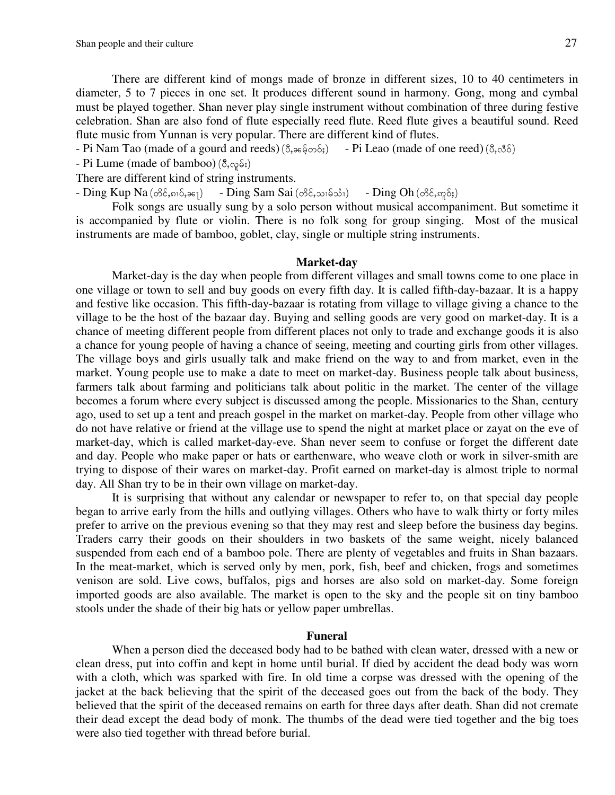There are different kind of mongs made of bronze in different sizes, 10 to 40 centimeters in diameter, 5 to 7 pieces in one set. It produces different sound in harmony. Gong, mong and cymbal must be played together. Shan never play single instrument without combination of three during festive celebration. Shan are also fond of flute especially reed flute. Reed flute gives a beautiful sound. Reed flute music from Yunnan is very popular. There are different kind of flutes.

- Pi Nam Tao (made of a gourd and reeds) ( $\delta$ ,കുംക്ക്) - Pi Leao (made of one reed) ( $\delta$ ,ஃ $\delta$ )

- Pi Lume (made of bamboo)  $(\delta, \Im, \delta)$ 

There are different kind of string instruments.

 $-$  Ding Kup Na  $(\mathcal{S}\xi, \mathfrak{so}\xi, \mathfrak{so}_1)$  - Ding Sam Sai  $(\mathcal{S}\xi, \mathfrak{so}\xi, \mathfrak{so}_1)$  - Ding Oh  $(\mathcal{S}\xi, \mathfrak{so}\xi)$ 

 Folk songs are usually sung by a solo person without musical accompaniment. But sometime it is accompanied by flute or violin. There is no folk song for group singing. Most of the musical instruments are made of bamboo, goblet, clay, single or multiple string instruments.

#### **Market-day**

 Market-day is the day when people from different villages and small towns come to one place in one village or town to sell and buy goods on every fifth day. It is called fifth-day-bazaar. It is a happy and festive like occasion. This fifth-day-bazaar is rotating from village to village giving a chance to the village to be the host of the bazaar day. Buying and selling goods are very good on market-day. It is a chance of meeting different people from different places not only to trade and exchange goods it is also a chance for young people of having a chance of seeing, meeting and courting girls from other villages. The village boys and girls usually talk and make friend on the way to and from market, even in the market. Young people use to make a date to meet on market-day. Business people talk about business, farmers talk about farming and politicians talk about politic in the market. The center of the village becomes a forum where every subject is discussed among the people. Missionaries to the Shan, century ago, used to set up a tent and preach gospel in the market on market-day. People from other village who do not have relative or friend at the village use to spend the night at market place or zayat on the eve of market-day, which is called market-day-eve. Shan never seem to confuse or forget the different date and day. People who make paper or hats or earthenware, who weave cloth or work in silver-smith are trying to dispose of their wares on market-day. Profit earned on market-day is almost triple to normal day. All Shan try to be in their own village on market-day.

 It is surprising that without any calendar or newspaper to refer to, on that special day people began to arrive early from the hills and outlying villages. Others who have to walk thirty or forty miles prefer to arrive on the previous evening so that they may rest and sleep before the business day begins. Traders carry their goods on their shoulders in two baskets of the same weight, nicely balanced suspended from each end of a bamboo pole. There are plenty of vegetables and fruits in Shan bazaars. In the meat-market, which is served only by men, pork, fish, beef and chicken, frogs and sometimes venison are sold. Live cows, buffalos, pigs and horses are also sold on market-day. Some foreign imported goods are also available. The market is open to the sky and the people sit on tiny bamboo stools under the shade of their big hats or yellow paper umbrellas.

#### **Funeral**

 When a person died the deceased body had to be bathed with clean water, dressed with a new or clean dress, put into coffin and kept in home until burial. If died by accident the dead body was worn with a cloth, which was sparked with fire. In old time a corpse was dressed with the opening of the jacket at the back believing that the spirit of the deceased goes out from the back of the body. They believed that the spirit of the deceased remains on earth for three days after death. Shan did not cremate their dead except the dead body of monk. The thumbs of the dead were tied together and the big toes were also tied together with thread before burial.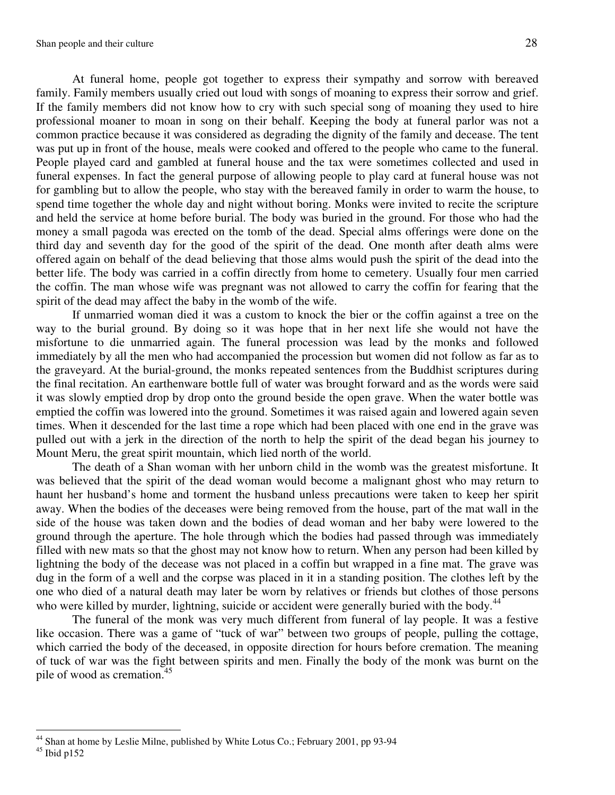At funeral home, people got together to express their sympathy and sorrow with bereaved family. Family members usually cried out loud with songs of moaning to express their sorrow and grief. If the family members did not know how to cry with such special song of moaning they used to hire professional moaner to moan in song on their behalf. Keeping the body at funeral parlor was not a common practice because it was considered as degrading the dignity of the family and decease. The tent was put up in front of the house, meals were cooked and offered to the people who came to the funeral. People played card and gambled at funeral house and the tax were sometimes collected and used in funeral expenses. In fact the general purpose of allowing people to play card at funeral house was not for gambling but to allow the people, who stay with the bereaved family in order to warm the house, to spend time together the whole day and night without boring. Monks were invited to recite the scripture and held the service at home before burial. The body was buried in the ground. For those who had the money a small pagoda was erected on the tomb of the dead. Special alms offerings were done on the third day and seventh day for the good of the spirit of the dead. One month after death alms were offered again on behalf of the dead believing that those alms would push the spirit of the dead into the better life. The body was carried in a coffin directly from home to cemetery. Usually four men carried the coffin. The man whose wife was pregnant was not allowed to carry the coffin for fearing that the spirit of the dead may affect the baby in the womb of the wife.

 If unmarried woman died it was a custom to knock the bier or the coffin against a tree on the way to the burial ground. By doing so it was hope that in her next life she would not have the misfortune to die unmarried again. The funeral procession was lead by the monks and followed immediately by all the men who had accompanied the procession but women did not follow as far as to the graveyard. At the burial-ground, the monks repeated sentences from the Buddhist scriptures during the final recitation. An earthenware bottle full of water was brought forward and as the words were said it was slowly emptied drop by drop onto the ground beside the open grave. When the water bottle was emptied the coffin was lowered into the ground. Sometimes it was raised again and lowered again seven times. When it descended for the last time a rope which had been placed with one end in the grave was pulled out with a jerk in the direction of the north to help the spirit of the dead began his journey to Mount Meru, the great spirit mountain, which lied north of the world.

 The death of a Shan woman with her unborn child in the womb was the greatest misfortune. It was believed that the spirit of the dead woman would become a malignant ghost who may return to haunt her husband's home and torment the husband unless precautions were taken to keep her spirit away. When the bodies of the deceases were being removed from the house, part of the mat wall in the side of the house was taken down and the bodies of dead woman and her baby were lowered to the ground through the aperture. The hole through which the bodies had passed through was immediately filled with new mats so that the ghost may not know how to return. When any person had been killed by lightning the body of the decease was not placed in a coffin but wrapped in a fine mat. The grave was dug in the form of a well and the corpse was placed in it in a standing position. The clothes left by the one who died of a natural death may later be worn by relatives or friends but clothes of those persons who were killed by murder, lightning, suicide or accident were generally buried with the body.<sup>44</sup>

The funeral of the monk was very much different from funeral of lay people. It was a festive like occasion. There was a game of "tuck of war" between two groups of people, pulling the cottage, which carried the body of the deceased, in opposite direction for hours before cremation. The meaning of tuck of war was the fight between spirits and men. Finally the body of the monk was burnt on the pile of wood as cremation.<sup>45</sup>

 $\overline{a}$ <sup>44</sup> Shan at home by Leslie Milne, published by White Lotus Co.; February 2001, pp 93-94

 $^{45}$  Ibid p152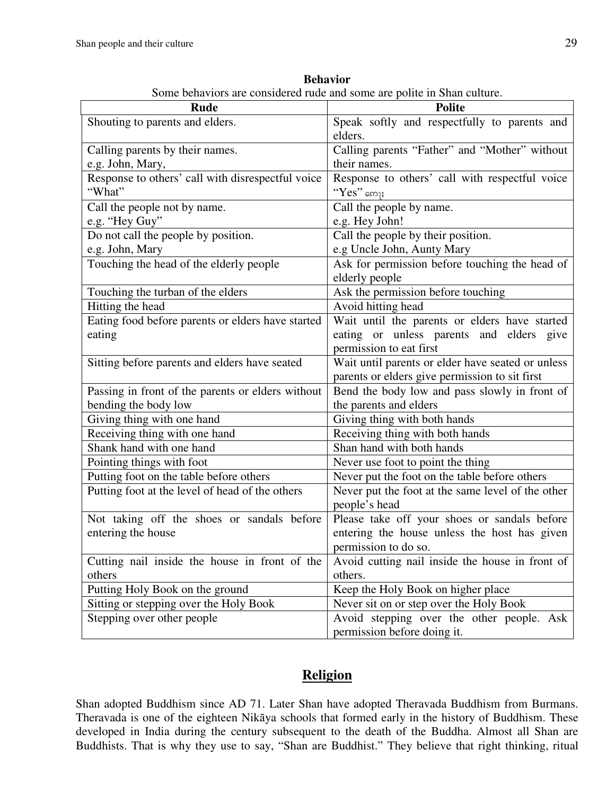| <b>Rude</b>                                       | <b>Polite</b>                                     |  |
|---------------------------------------------------|---------------------------------------------------|--|
| Shouting to parents and elders.                   | Speak softly and respectfully to parents and      |  |
|                                                   | elders.                                           |  |
| Calling parents by their names.                   | Calling parents "Father" and "Mother" without     |  |
| e.g. John, Mary,                                  | their names.                                      |  |
| Response to others' call with disrespectful voice | Response to others' call with respectful voice    |  |
| "What"                                            | $"Yes"$ ரை                                        |  |
| Call the people not by name.                      | Call the people by name.                          |  |
| e.g. "Hey Guy"                                    | e.g. Hey John!                                    |  |
| Do not call the people by position.               | Call the people by their position.                |  |
| e.g. John, Mary                                   | e.g Uncle John, Aunty Mary                        |  |
| Touching the head of the elderly people           | Ask for permission before touching the head of    |  |
|                                                   | elderly people                                    |  |
| Touching the turban of the elders                 | Ask the permission before touching                |  |
| Hitting the head                                  | Avoid hitting head                                |  |
| Eating food before parents or elders have started | Wait until the parents or elders have started     |  |
| eating                                            | eating or unless parents and elders give          |  |
|                                                   | permission to eat first                           |  |
| Sitting before parents and elders have seated     | Wait until parents or elder have seated or unless |  |
|                                                   | parents or elders give permission to sit first    |  |
| Passing in front of the parents or elders without | Bend the body low and pass slowly in front of     |  |
| bending the body low                              | the parents and elders                            |  |
| Giving thing with one hand                        | Giving thing with both hands                      |  |
| Receiving thing with one hand                     | Receiving thing with both hands                   |  |
| Shank hand with one hand                          | Shan hand with both hands                         |  |
| Pointing things with foot                         | Never use foot to point the thing                 |  |
| Putting foot on the table before others           | Never put the foot on the table before others     |  |
| Putting foot at the level of head of the others   | Never put the foot at the same level of the other |  |
|                                                   | people's head                                     |  |
| Not taking off the shoes or sandals before        | Please take off your shoes or sandals before      |  |
| entering the house                                | entering the house unless the host has given      |  |
|                                                   | permission to do so.                              |  |
| Cutting nail inside the house in front of the     | Avoid cutting nail inside the house in front of   |  |
| others                                            | others.                                           |  |
| Putting Holy Book on the ground                   | Keep the Holy Book on higher place                |  |
| Sitting or stepping over the Holy Book            | Never sit on or step over the Holy Book           |  |
| Stepping over other people                        | Avoid stepping over the other people. Ask         |  |
|                                                   | permission before doing it.                       |  |

**Behavior**  Some behaviors are considered rude and some are polite in Shan culture.

# **Religion**

Shan adopted Buddhism since AD 71. Later Shan have adopted Theravada Buddhism from Burmans. Theravada is one of the eighteen Nikāya schools that formed early in the history of Buddhism. These developed in India during the century subsequent to the death of the Buddha. Almost all Shan are Buddhists. That is why they use to say, "Shan are Buddhist." They believe that right thinking, ritual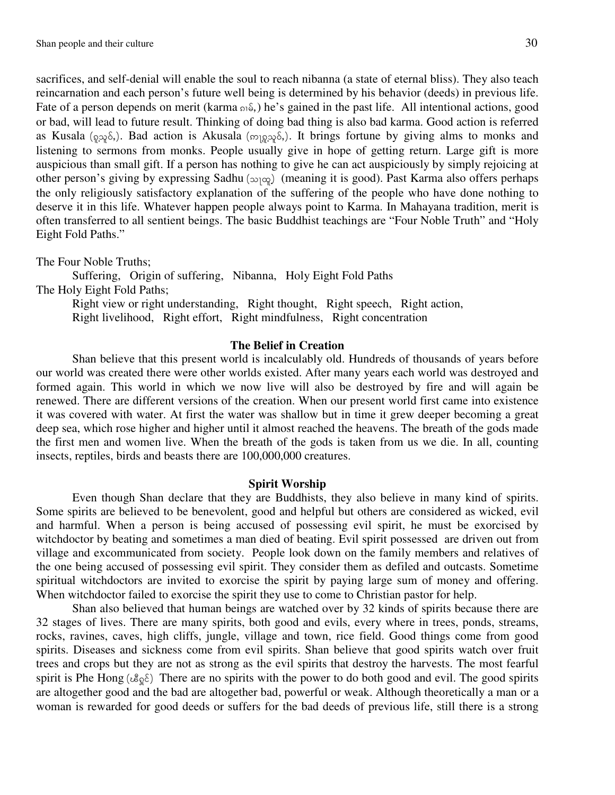sacrifices, and self-denial will enable the soul to reach nibanna (a state of eternal bliss). They also teach reincarnation and each person's future well being is determined by his behavior (deeds) in previous life. Fate of a person depends on merit (karma  $\mathfrak{so}_6$ ) he's gained in the past life. All intentional actions, good or bad, will lead to future result. Thinking of doing bad thing is also bad karma. Good action is referred as Kusala ( $9.2\%$ ). Bad action is Akusala ( $9.9\%$ ). It brings fortune by giving alms to monks and listening to sermons from monks. People usually give in hope of getting return. Large gift is more auspicious than small gift. If a person has nothing to give he can act auspiciously by simply rejoicing at other person's giving by expressing Sadhu ( $\infty$  $\infty$ ) (meaning it is good). Past Karma also offers perhaps the only religiously satisfactory explanation of the suffering of the people who have done nothing to deserve it in this life. Whatever happen people always point to Karma. In Mahayana tradition, merit is often transferred to all sentient beings. The basic Buddhist teachings are "Four Noble Truth" and "Holy Eight Fold Paths."

The Four Noble Truths; Suffering, Origin of suffering, Nibanna, Holy Eight Fold Paths The Holy Eight Fold Paths; Right view or right understanding, Right thought, Right speech, Right action, Right livelihood, Right effort, Right mindfulness, Right concentration

#### **The Belief in Creation**

Shan believe that this present world is incalculably old. Hundreds of thousands of years before our world was created there were other worlds existed. After many years each world was destroyed and formed again. This world in which we now live will also be destroyed by fire and will again be renewed. There are different versions of the creation. When our present world first came into existence it was covered with water. At first the water was shallow but in time it grew deeper becoming a great deep sea, which rose higher and higher until it almost reached the heavens. The breath of the gods made the first men and women live. When the breath of the gods is taken from us we die. In all, counting insects, reptiles, birds and beasts there are 100,000,000 creatures.

#### **Spirit Worship**

Even though Shan declare that they are Buddhists, they also believe in many kind of spirits. Some spirits are believed to be benevolent, good and helpful but others are considered as wicked, evil and harmful. When a person is being accused of possessing evil spirit, he must be exorcised by witchdoctor by beating and sometimes a man died of beating. Evil spirit possessed are driven out from village and excommunicated from society. People look down on the family members and relatives of the one being accused of possessing evil spirit. They consider them as defiled and outcasts. Sometime spiritual witchdoctors are invited to exorcise the spirit by paying large sum of money and offering. When witchdoctor failed to exorcise the spirit they use to come to Christian pastor for help.

Shan also believed that human beings are watched over by 32 kinds of spirits because there are 32 stages of lives. There are many spirits, both good and evils, every where in trees, ponds, streams, rocks, ravines, caves, high cliffs, jungle, village and town, rice field. Good things come from good spirits. Diseases and sickness come from evil spirits. Shan believe that good spirits watch over fruit trees and crops but they are not as strong as the evil spirits that destroy the harvests. The most fearful spirit is Phe Hong ( $\&_{\mathcal{Q}}\&_{\mathcal{Q}}\&$ ) There are no spirits with the power to do both good and evil. The good spirits are altogether good and the bad are altogether bad, powerful or weak. Although theoretically a man or a woman is rewarded for good deeds or suffers for the bad deeds of previous life, still there is a strong